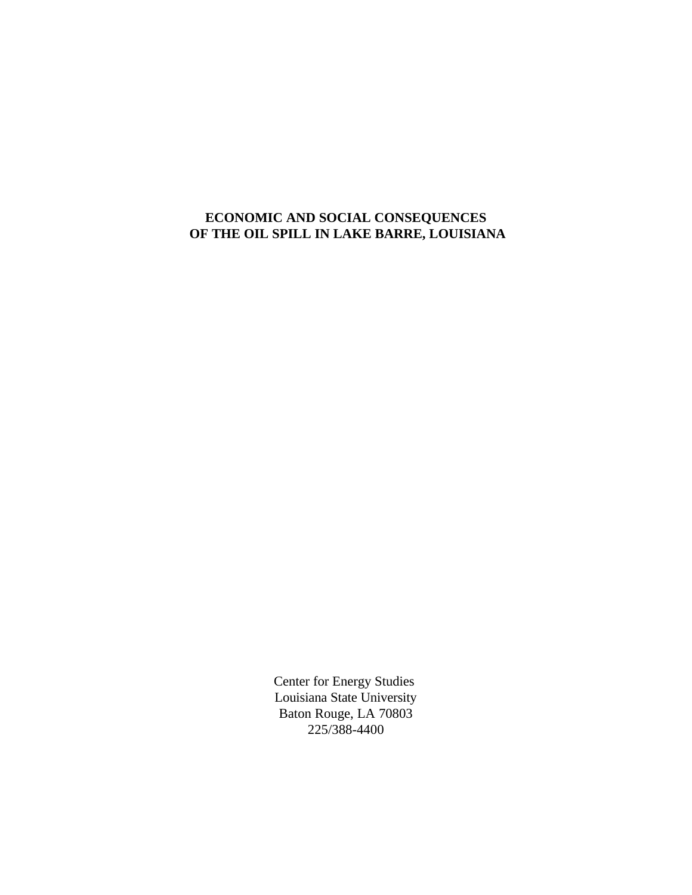# **ECONOMIC AND SOCIAL CONSEQUENCES OF THE OIL SPILL IN LAKE BARRE, LOUISIANA**

Center for Energy Studies Louisiana State University Baton Rouge, LA 70803 225/388-4400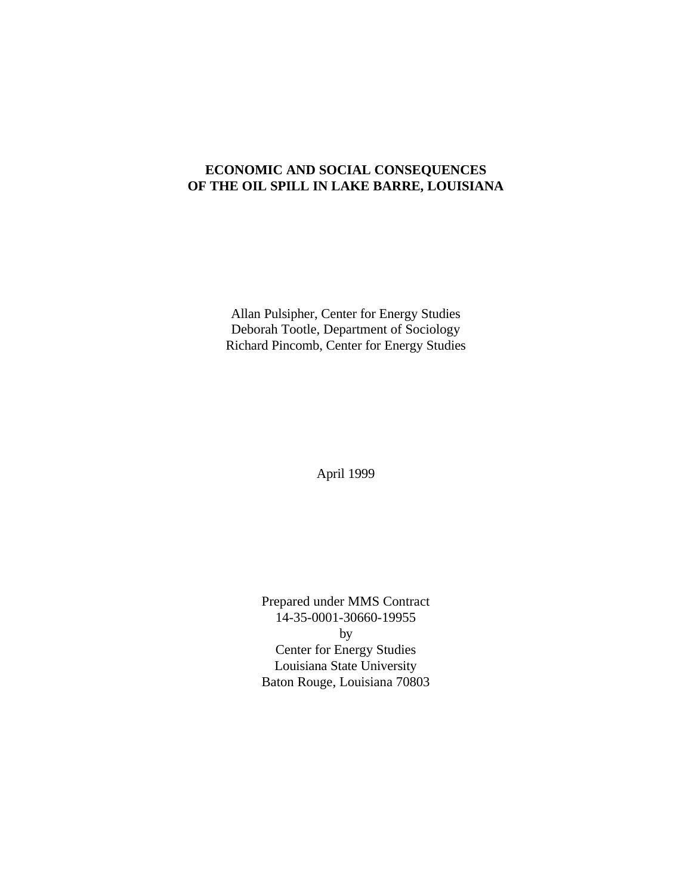# **ECONOMIC AND SOCIAL CONSEQUENCES OF THE OIL SPILL IN LAKE BARRE, LOUISIANA**

Allan Pulsipher, Center for Energy Studies Deborah Tootle, Department of Sociology Richard Pincomb, Center for Energy Studies

April 1999

Prepared under MMS Contract 14-35-0001-30660-19955 by Center for Energy Studies Louisiana State University Baton Rouge, Louisiana 70803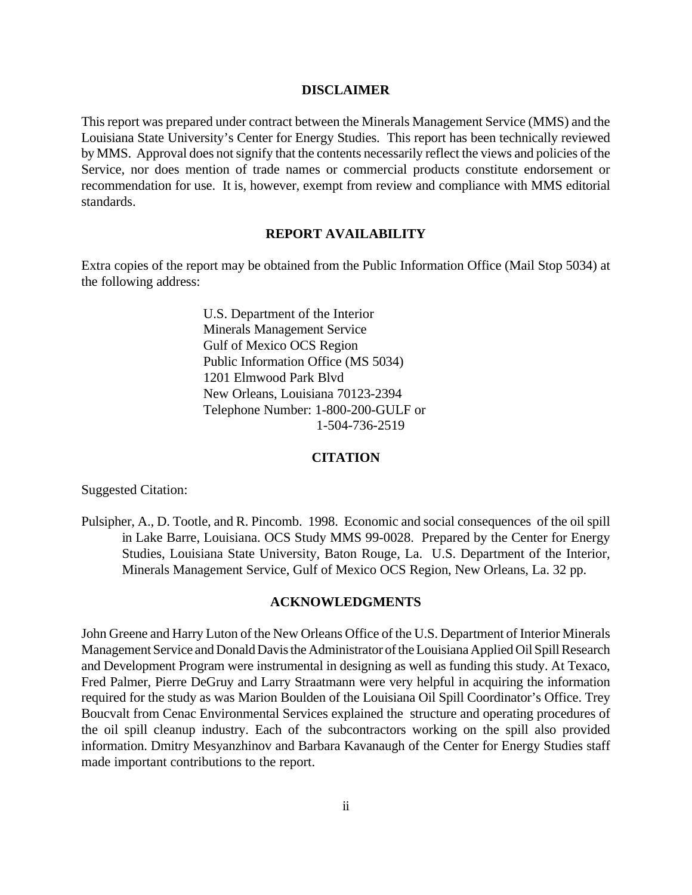#### **DISCLAIMER**

This report was prepared under contract between the Minerals Management Service (MMS) and the Louisiana State University's Center for Energy Studies. This report has been technically reviewed by MMS. Approval does not signify that the contents necessarily reflect the views and policies of the Service, nor does mention of trade names or commercial products constitute endorsement or recommendation for use. It is, however, exempt from review and compliance with MMS editorial standards.

#### **REPORT AVAILABILITY**

Extra copies of the report may be obtained from the Public Information Office (Mail Stop 5034) at the following address:

> U.S. Department of the Interior Minerals Management Service Gulf of Mexico OCS Region Public Information Office (MS 5034) 1201 Elmwood Park Blvd New Orleans, Louisiana 70123-2394 Telephone Number: 1-800-200-GULF or 1-504-736-2519

#### **CITATION**

Suggested Citation:

Pulsipher, A., D. Tootle, and R. Pincomb. 1998. Economic and social consequences of the oil spill in Lake Barre, Louisiana. OCS Study MMS 99-0028. Prepared by the Center for Energy Studies, Louisiana State University, Baton Rouge, La. U.S. Department of the Interior, Minerals Management Service, Gulf of Mexico OCS Region, New Orleans, La. 32 pp.

#### **ACKNOWLEDGMENTS**

John Greene and Harry Luton of the New Orleans Office of the U.S. Department of Interior Minerals Management Service and Donald Davis the Administrator of the Louisiana Applied Oil Spill Research and Development Program were instrumental in designing as well as funding this study. At Texaco, Fred Palmer, Pierre DeGruy and Larry Straatmann were very helpful in acquiring the information required for the study as was Marion Boulden of the Louisiana Oil Spill Coordinator's Office. Trey Boucvalt from Cenac Environmental Services explained the structure and operating procedures of the oil spill cleanup industry. Each of the subcontractors working on the spill also provided information. Dmitry Mesyanzhinov and Barbara Kavanaugh of the Center for Energy Studies staff made important contributions to the report.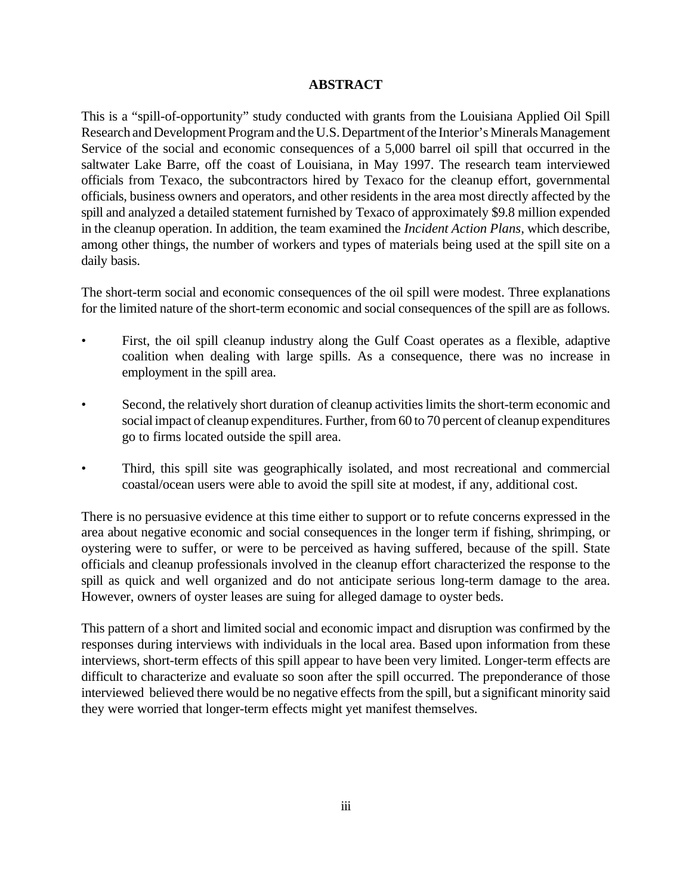## **ABSTRACT**

This is a "spill-of-opportunity" study conducted with grants from the Louisiana Applied Oil Spill Research and Development Program and the U.S. Department of the Interior's Minerals Management Service of the social and economic consequences of a 5,000 barrel oil spill that occurred in the saltwater Lake Barre, off the coast of Louisiana, in May 1997. The research team interviewed officials from Texaco, the subcontractors hired by Texaco for the cleanup effort, governmental officials, business owners and operators, and other residents in the area most directly affected by the spill and analyzed a detailed statement furnished by Texaco of approximately \$9.8 million expended in the cleanup operation. In addition, the team examined the *Incident Action Plans,* which describe, among other things, the number of workers and types of materials being used at the spill site on a daily basis.

The short-term social and economic consequences of the oil spill were modest. Three explanations for the limited nature of the short-term economic and social consequences of the spill are as follows.

- First, the oil spill cleanup industry along the Gulf Coast operates as a flexible, adaptive coalition when dealing with large spills. As a consequence, there was no increase in employment in the spill area.
- Second, the relatively short duration of cleanup activities limits the short-term economic and social impact of cleanup expenditures. Further, from 60 to 70 percent of cleanup expenditures go to firms located outside the spill area.
- Third, this spill site was geographically isolated, and most recreational and commercial coastal/ocean users were able to avoid the spill site at modest, if any, additional cost.

There is no persuasive evidence at this time either to support or to refute concerns expressed in the area about negative economic and social consequences in the longer term if fishing, shrimping, or oystering were to suffer, or were to be perceived as having suffered, because of the spill. State officials and cleanup professionals involved in the cleanup effort characterized the response to the spill as quick and well organized and do not anticipate serious long-term damage to the area. However, owners of oyster leases are suing for alleged damage to oyster beds.

This pattern of a short and limited social and economic impact and disruption was confirmed by the responses during interviews with individuals in the local area. Based upon information from these interviews, short-term effects of this spill appear to have been very limited. Longer-term effects are difficult to characterize and evaluate so soon after the spill occurred. The preponderance of those interviewed believed there would be no negative effects from the spill, but a significant minority said they were worried that longer-term effects might yet manifest themselves.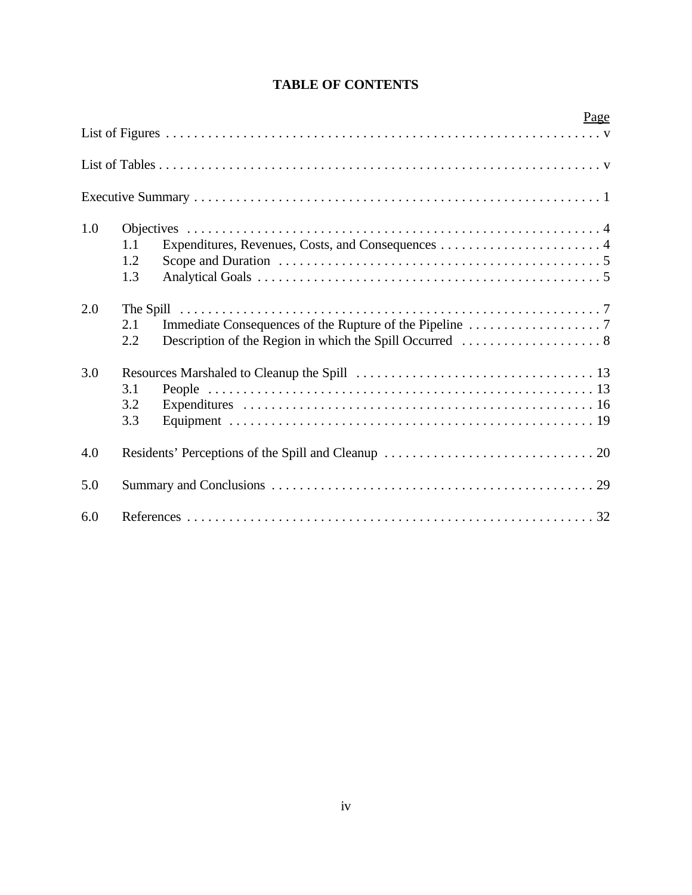|     |                   |  | Page |
|-----|-------------------|--|------|
|     |                   |  |      |
|     |                   |  |      |
|     |                   |  |      |
| 1.0 | 1.1<br>1.2<br>1.3 |  |      |
| 2.0 | 2.1<br>2.2        |  |      |
| 3.0 | 3.1<br>3.2<br>3.3 |  |      |
| 4.0 |                   |  |      |
| 5.0 |                   |  |      |
| 6.0 |                   |  |      |

# **TABLE OF CONTENTS**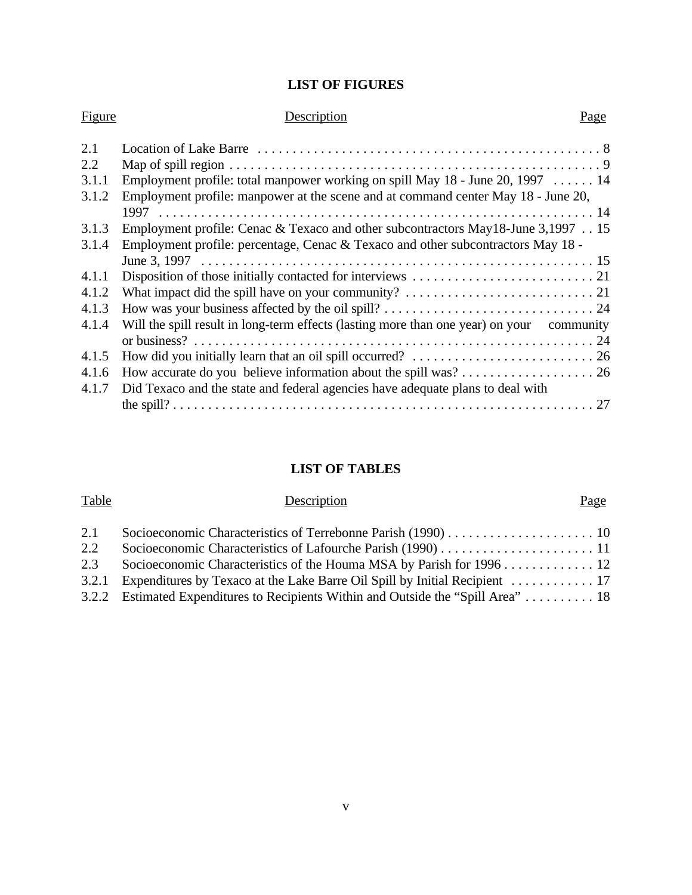# **LIST OF FIGURES**

| Figure | Description                                                                               | Page |
|--------|-------------------------------------------------------------------------------------------|------|
| 2.1    |                                                                                           |      |
| 2.2    |                                                                                           |      |
| 3.1.1  | Employment profile: total manpower working on spill May $18$ - June 20, 1997  14          |      |
| 3.1.2  | Employment profile: manpower at the scene and at command center May 18 - June 20,         |      |
|        |                                                                                           |      |
| 3.1.3  | Employment profile: Cenac & Texaco and other subcontractors May18-June 3,1997 15          |      |
| 3.1.4  | Employment profile: percentage, Cenac & Texaco and other subcontractors May 18 -          |      |
|        |                                                                                           |      |
| 4.1.1  |                                                                                           |      |
| 4.1.2  |                                                                                           |      |
| 4.1.3  |                                                                                           |      |
| 4.1.4  | Will the spill result in long-term effects (lasting more than one year) on your community |      |
|        |                                                                                           |      |
| 4.1.5  |                                                                                           |      |
| 4.1.6  |                                                                                           |      |
| 4.1.7  | Did Texaco and the state and federal agencies have adequate plans to deal with            |      |
|        |                                                                                           |      |

# **LIST OF TABLES**

| Table | Description                                                                        | Page |
|-------|------------------------------------------------------------------------------------|------|
| 2.1   |                                                                                    |      |
| 2.2   |                                                                                    |      |
| 2.3   | Socioeconomic Characteristics of the Houma MSA by Parish for 1996 12               |      |
|       | 3.2.1 Expenditures by Texaco at the Lake Barre Oil Spill by Initial Recipient  17  |      |
|       | 3.2.2 Estimated Expenditures to Recipients Within and Outside the "Spill Area"  18 |      |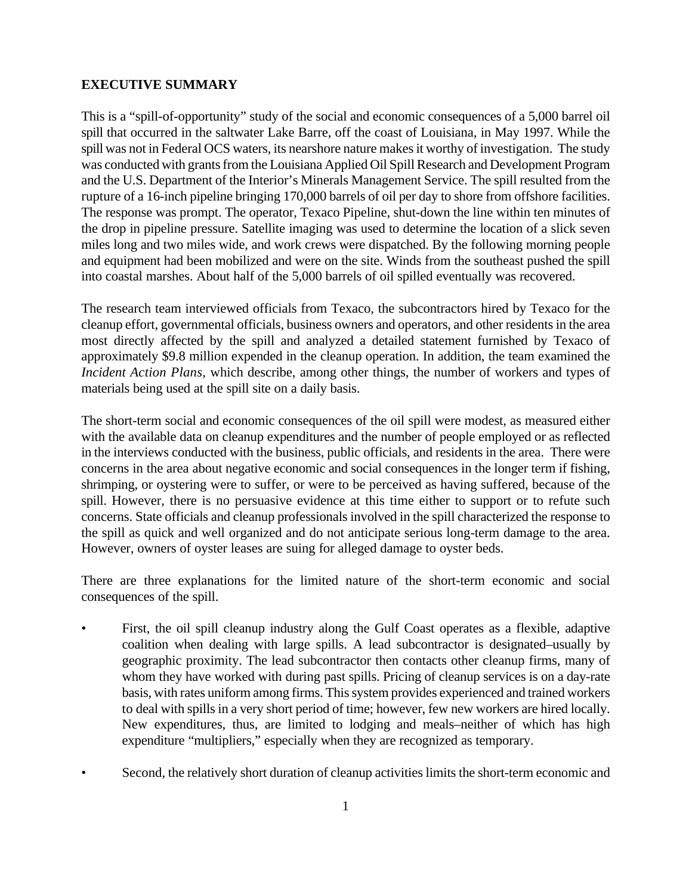## **EXECUTIVE SUMMARY**

This is a "spill-of-opportunity" study of the social and economic consequences of a 5,000 barrel oil spill that occurred in the saltwater Lake Barre, off the coast of Louisiana, in May 1997. While the spill was not in Federal OCS waters, its nearshore nature makes it worthy of investigation. The study was conducted with grants from the Louisiana Applied Oil Spill Research and Development Program and the U.S. Department of the Interior's Minerals Management Service. The spill resulted from the rupture of a 16-inch pipeline bringing 170,000 barrels of oil per day to shore from offshore facilities. The response was prompt. The operator, Texaco Pipeline, shut-down the line within ten minutes of the drop in pipeline pressure. Satellite imaging was used to determine the location of a slick seven miles long and two miles wide, and work crews were dispatched. By the following morning people and equipment had been mobilized and were on the site. Winds from the southeast pushed the spill into coastal marshes. About half of the 5,000 barrels of oil spilled eventually was recovered.

The research team interviewed officials from Texaco, the subcontractors hired by Texaco for the cleanup effort, governmental officials, business owners and operators, and other residents in the area most directly affected by the spill and analyzed a detailed statement furnished by Texaco of approximately \$9.8 million expended in the cleanup operation. In addition, the team examined the *Incident Action Plans,* which describe, among other things, the number of workers and types of materials being used at the spill site on a daily basis.

The short-term social and economic consequences of the oil spill were modest, as measured either with the available data on cleanup expenditures and the number of people employed or as reflected in the interviews conducted with the business, public officials, and residents in the area. There were concerns in the area about negative economic and social consequences in the longer term if fishing, shrimping, or oystering were to suffer, or were to be perceived as having suffered, because of the spill. However, there is no persuasive evidence at this time either to support or to refute such concerns. State officials and cleanup professionals involved in the spill characterized the response to the spill as quick and well organized and do not anticipate serious long-term damage to the area. However, owners of oyster leases are suing for alleged damage to oyster beds.

There are three explanations for the limited nature of the short-term economic and social consequences of the spill.

- First, the oil spill cleanup industry along the Gulf Coast operates as a flexible, adaptive coalition when dealing with large spills. A lead subcontractor is designated–usually by geographic proximity. The lead subcontractor then contacts other cleanup firms, many of whom they have worked with during past spills. Pricing of cleanup services is on a day-rate basis, with rates uniform among firms. This system provides experienced and trained workers to deal with spills in a very short period of time; however, few new workers are hired locally. New expenditures, thus, are limited to lodging and meals–neither of which has high expenditure "multipliers," especially when they are recognized as temporary.
- Second, the relatively short duration of cleanup activities limits the short-term economic and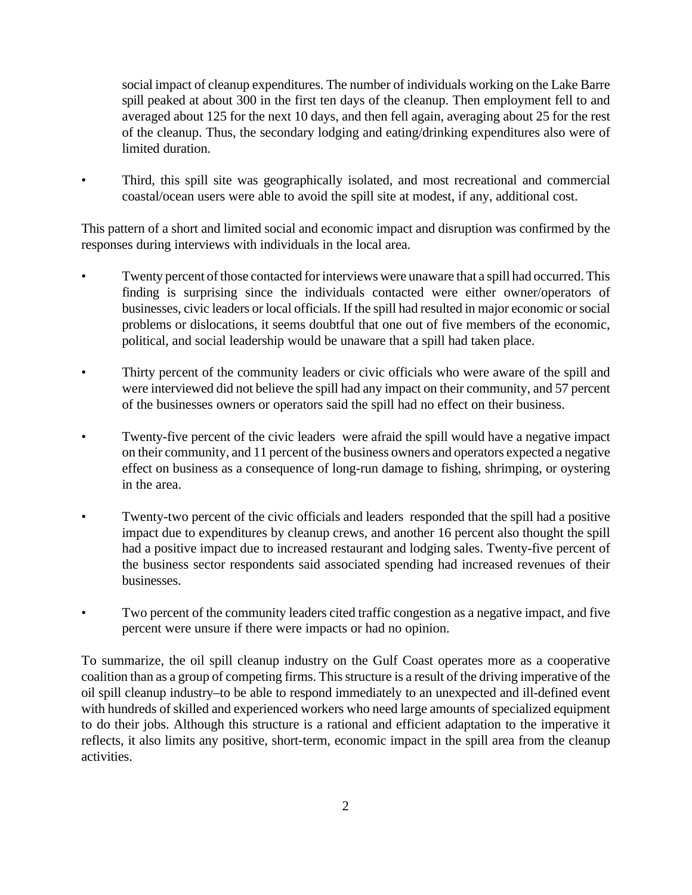social impact of cleanup expenditures. The number of individuals working on the Lake Barre spill peaked at about 300 in the first ten days of the cleanup. Then employment fell to and averaged about 125 for the next 10 days, and then fell again, averaging about 25 for the rest of the cleanup. Thus, the secondary lodging and eating/drinking expenditures also were of limited duration.

• Third, this spill site was geographically isolated, and most recreational and commercial coastal/ocean users were able to avoid the spill site at modest, if any, additional cost.

This pattern of a short and limited social and economic impact and disruption was confirmed by the responses during interviews with individuals in the local area.

- Twenty percent of those contacted for interviews were unaware that a spill had occurred. This finding is surprising since the individuals contacted were either owner/operators of businesses, civic leaders or local officials. If the spill had resulted in major economic or social problems or dislocations, it seems doubtful that one out of five members of the economic, political, and social leadership would be unaware that a spill had taken place.
- Thirty percent of the community leaders or civic officials who were aware of the spill and were interviewed did not believe the spill had any impact on their community, and 57 percent of the businesses owners or operators said the spill had no effect on their business.
- Twenty-five percent of the civic leaders were afraid the spill would have a negative impact on their community, and 11 percent of the business owners and operators expected a negative effect on business as a consequence of long-run damage to fishing, shrimping, or oystering in the area.
- Twenty-two percent of the civic officials and leaders responded that the spill had a positive impact due to expenditures by cleanup crews, and another 16 percent also thought the spill had a positive impact due to increased restaurant and lodging sales. Twenty-five percent of the business sector respondents said associated spending had increased revenues of their businesses.
- Two percent of the community leaders cited traffic congestion as a negative impact, and five percent were unsure if there were impacts or had no opinion.

To summarize, the oil spill cleanup industry on the Gulf Coast operates more as a cooperative coalition than as a group of competing firms. This structure is a result of the driving imperative of the oil spill cleanup industry–to be able to respond immediately to an unexpected and ill-defined event with hundreds of skilled and experienced workers who need large amounts of specialized equipment to do their jobs. Although this structure is a rational and efficient adaptation to the imperative it reflects, it also limits any positive, short-term, economic impact in the spill area from the cleanup activities.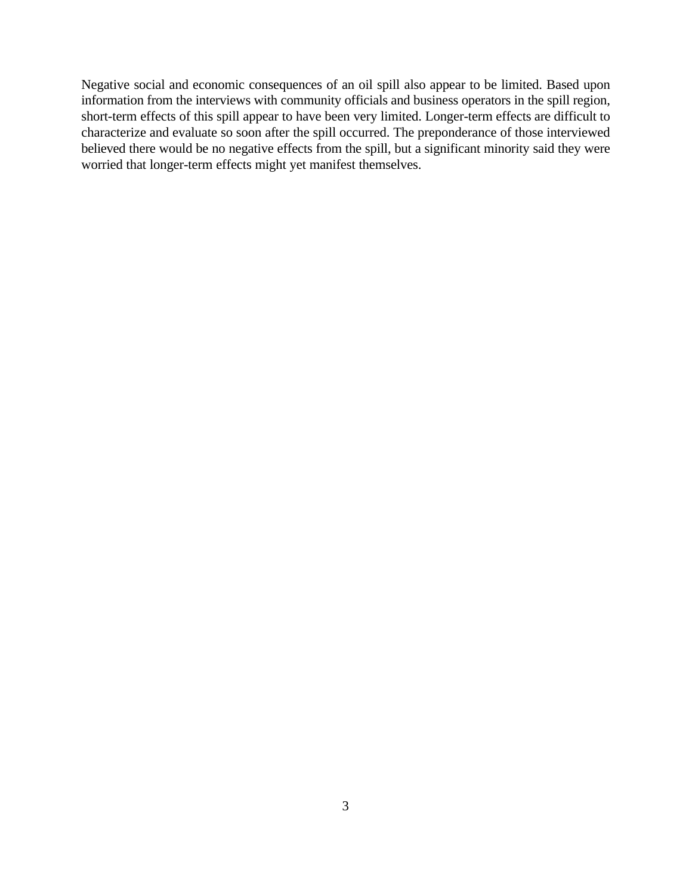Negative social and economic consequences of an oil spill also appear to be limited. Based upon information from the interviews with community officials and business operators in the spill region, short-term effects of this spill appear to have been very limited. Longer-term effects are difficult to characterize and evaluate so soon after the spill occurred. The preponderance of those interviewed believed there would be no negative effects from the spill, but a significant minority said they were worried that longer-term effects might yet manifest themselves.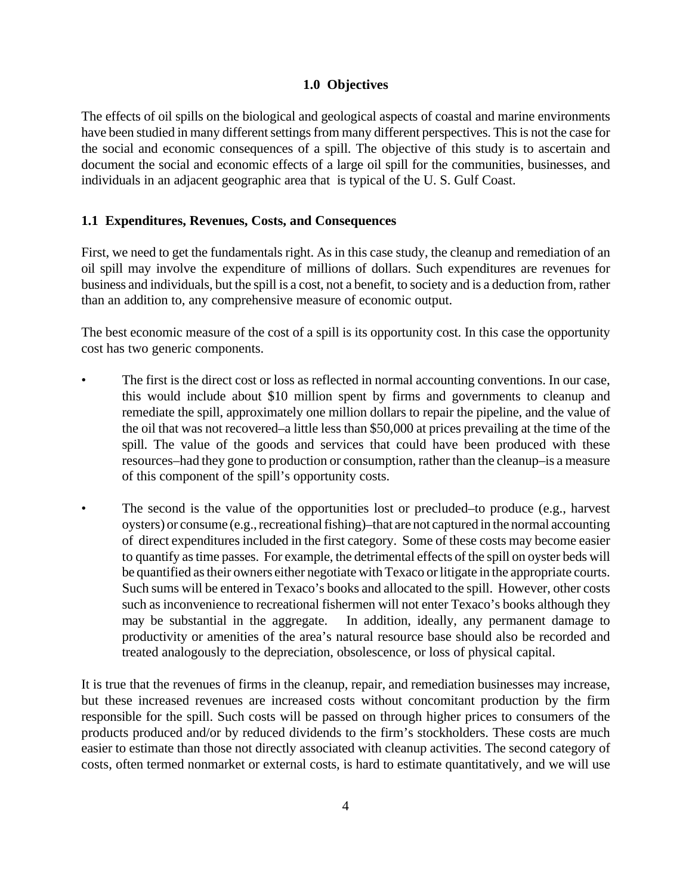## **1.0 Objectives**

The effects of oil spills on the biological and geological aspects of coastal and marine environments have been studied in many different settings from many different perspectives. This is not the case for the social and economic consequences of a spill. The objective of this study is to ascertain and document the social and economic effects of a large oil spill for the communities, businesses, and individuals in an adjacent geographic area that is typical of the U. S. Gulf Coast.

## **1.1 Expenditures, Revenues, Costs, and Consequences**

First, we need to get the fundamentals right. As in this case study, the cleanup and remediation of an oil spill may involve the expenditure of millions of dollars. Such expenditures are revenues for business and individuals, but the spill is a cost, not a benefit, to society and is a deduction from, rather than an addition to, any comprehensive measure of economic output.

The best economic measure of the cost of a spill is its opportunity cost. In this case the opportunity cost has two generic components.

- The first is the direct cost or loss as reflected in normal accounting conventions. In our case, this would include about \$10 million spent by firms and governments to cleanup and remediate the spill, approximately one million dollars to repair the pipeline, and the value of the oil that was not recovered–a little less than \$50,000 at prices prevailing at the time of the spill. The value of the goods and services that could have been produced with these resources–had they gone to production or consumption, rather than the cleanup–is a measure of this component of the spill's opportunity costs.
- The second is the value of the opportunities lost or precluded–to produce (e.g., harvest oysters) or consume (e.g., recreational fishing)–that are not captured in the normal accounting of direct expenditures included in the first category. Some of these costs may become easier to quantify as time passes. For example, the detrimental effects of the spill on oyster beds will be quantified as their owners either negotiate with Texaco or litigate in the appropriate courts. Such sums will be entered in Texaco's books and allocated to the spill. However, other costs such as inconvenience to recreational fishermen will not enter Texaco's books although they may be substantial in the aggregate. In addition, ideally, any permanent damage to productivity or amenities of the area's natural resource base should also be recorded and treated analogously to the depreciation, obsolescence, or loss of physical capital.

It is true that the revenues of firms in the cleanup, repair, and remediation businesses may increase, but these increased revenues are increased costs without concomitant production by the firm responsible for the spill. Such costs will be passed on through higher prices to consumers of the products produced and/or by reduced dividends to the firm's stockholders. These costs are much easier to estimate than those not directly associated with cleanup activities. The second category of costs, often termed nonmarket or external costs, is hard to estimate quantitatively, and we will use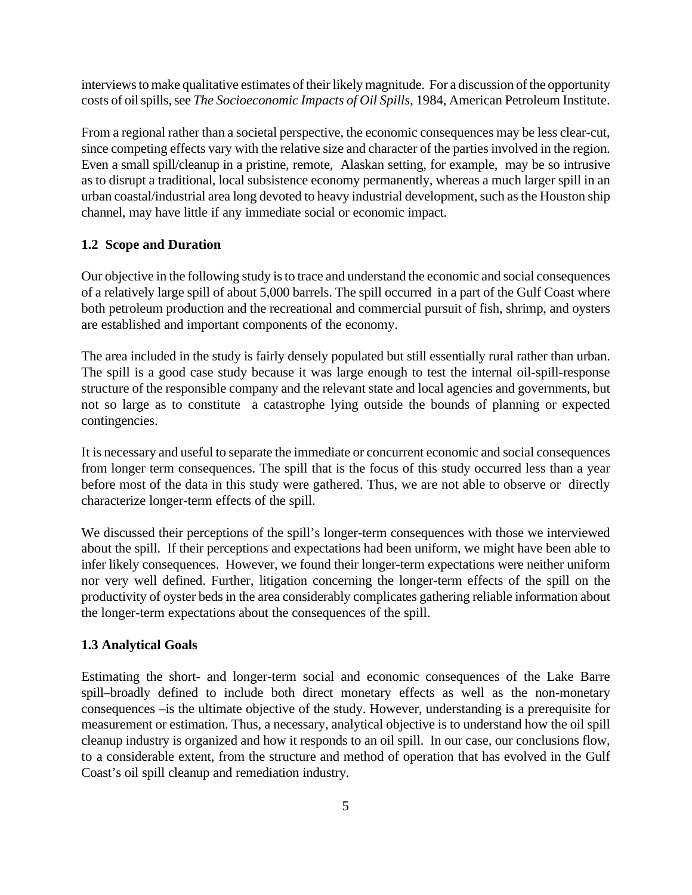interviews to make qualitative estimates of their likely magnitude. For a discussion of the opportunity costs of oil spills, see *The Socioeconomic Impacts of Oil Spills*, 1984, American Petroleum Institute.

From a regional rather than a societal perspective, the economic consequences may be less clear-cut, since competing effects vary with the relative size and character of the parties involved in the region. Even a small spill/cleanup in a pristine, remote, Alaskan setting, for example, may be so intrusive as to disrupt a traditional, local subsistence economy permanently, whereas a much larger spill in an urban coastal/industrial area long devoted to heavy industrial development, such as the Houston ship channel, may have little if any immediate social or economic impact.

## **1.2 Scope and Duration**

Our objective in the following study is to trace and understand the economic and social consequences of a relatively large spill of about 5,000 barrels. The spill occurred in a part of the Gulf Coast where both petroleum production and the recreational and commercial pursuit of fish, shrimp, and oysters are established and important components of the economy.

The area included in the study is fairly densely populated but still essentially rural rather than urban. The spill is a good case study because it was large enough to test the internal oil-spill-response structure of the responsible company and the relevant state and local agencies and governments, but not so large as to constitute a catastrophe lying outside the bounds of planning or expected contingencies.

It is necessary and useful to separate the immediate or concurrent economic and social consequences from longer term consequences. The spill that is the focus of this study occurred less than a year before most of the data in this study were gathered. Thus, we are not able to observe or directly characterize longer-term effects of the spill.

We discussed their perceptions of the spill's longer-term consequences with those we interviewed about the spill. If their perceptions and expectations had been uniform, we might have been able to infer likely consequences. However, we found their longer-term expectations were neither uniform nor very well defined. Further, litigation concerning the longer-term effects of the spill on the productivity of oyster beds in the area considerably complicates gathering reliable information about the longer-term expectations about the consequences of the spill.

## **1.3 Analytical Goals**

Estimating the short- and longer-term social and economic consequences of the Lake Barre spill–broadly defined to include both direct monetary effects as well as the non-monetary consequences –is the ultimate objective of the study. However, understanding is a prerequisite for measurement or estimation. Thus, a necessary, analytical objective is to understand how the oil spill cleanup industry is organized and how it responds to an oil spill. In our case, our conclusions flow, to a considerable extent, from the structure and method of operation that has evolved in the Gulf Coast's oil spill cleanup and remediation industry.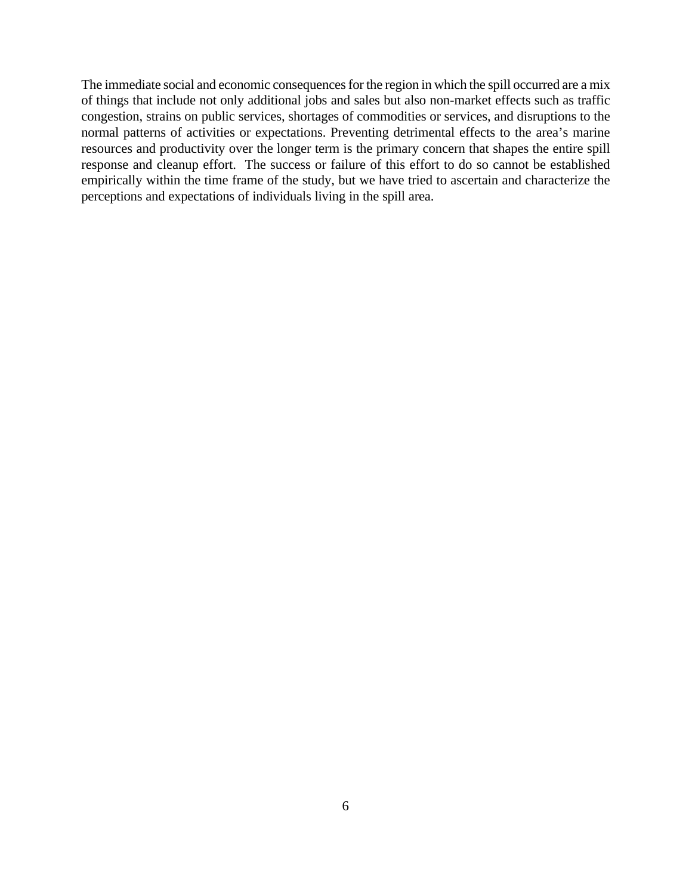The immediate social and economic consequences for the region in which the spill occurred are a mix of things that include not only additional jobs and sales but also non-market effects such as traffic congestion, strains on public services, shortages of commodities or services, and disruptions to the normal patterns of activities or expectations. Preventing detrimental effects to the area's marine resources and productivity over the longer term is the primary concern that shapes the entire spill response and cleanup effort. The success or failure of this effort to do so cannot be established empirically within the time frame of the study, but we have tried to ascertain and characterize the perceptions and expectations of individuals living in the spill area.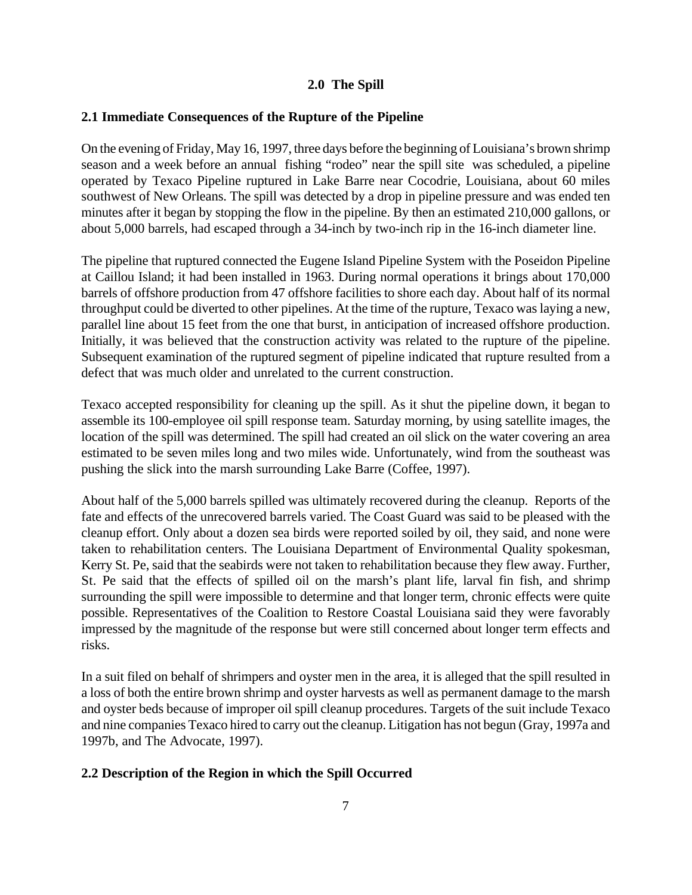## **2.0 The Spill**

## **2.1 Immediate Consequences of the Rupture of the Pipeline**

On the evening of Friday, May 16, 1997, three days before the beginning of Louisiana's brown shrimp season and a week before an annual fishing "rodeo" near the spill site was scheduled, a pipeline operated by Texaco Pipeline ruptured in Lake Barre near Cocodrie, Louisiana, about 60 miles southwest of New Orleans. The spill was detected by a drop in pipeline pressure and was ended ten minutes after it began by stopping the flow in the pipeline. By then an estimated 210,000 gallons, or about 5,000 barrels, had escaped through a 34-inch by two-inch rip in the 16-inch diameter line.

The pipeline that ruptured connected the Eugene Island Pipeline System with the Poseidon Pipeline at Caillou Island; it had been installed in 1963. During normal operations it brings about 170,000 barrels of offshore production from 47 offshore facilities to shore each day. About half of its normal throughput could be diverted to other pipelines. At the time of the rupture, Texaco was laying a new, parallel line about 15 feet from the one that burst, in anticipation of increased offshore production. Initially, it was believed that the construction activity was related to the rupture of the pipeline. Subsequent examination of the ruptured segment of pipeline indicated that rupture resulted from a defect that was much older and unrelated to the current construction.

Texaco accepted responsibility for cleaning up the spill. As it shut the pipeline down, it began to assemble its 100-employee oil spill response team. Saturday morning, by using satellite images, the location of the spill was determined. The spill had created an oil slick on the water covering an area estimated to be seven miles long and two miles wide. Unfortunately, wind from the southeast was pushing the slick into the marsh surrounding Lake Barre (Coffee, 1997).

About half of the 5,000 barrels spilled was ultimately recovered during the cleanup. Reports of the fate and effects of the unrecovered barrels varied. The Coast Guard was said to be pleased with the cleanup effort. Only about a dozen sea birds were reported soiled by oil, they said, and none were taken to rehabilitation centers. The Louisiana Department of Environmental Quality spokesman, Kerry St. Pe, said that the seabirds were not taken to rehabilitation because they flew away. Further, St. Pe said that the effects of spilled oil on the marsh's plant life, larval fin fish, and shrimp surrounding the spill were impossible to determine and that longer term, chronic effects were quite possible. Representatives of the Coalition to Restore Coastal Louisiana said they were favorably impressed by the magnitude of the response but were still concerned about longer term effects and risks.

In a suit filed on behalf of shrimpers and oyster men in the area, it is alleged that the spill resulted in a loss of both the entire brown shrimp and oyster harvests as well as permanent damage to the marsh and oyster beds because of improper oil spill cleanup procedures. Targets of the suit include Texaco and nine companies Texaco hired to carry out the cleanup. Litigation has not begun (Gray, 1997a and 1997b, and The Advocate, 1997).

## **2.2 Description of the Region in which the Spill Occurred**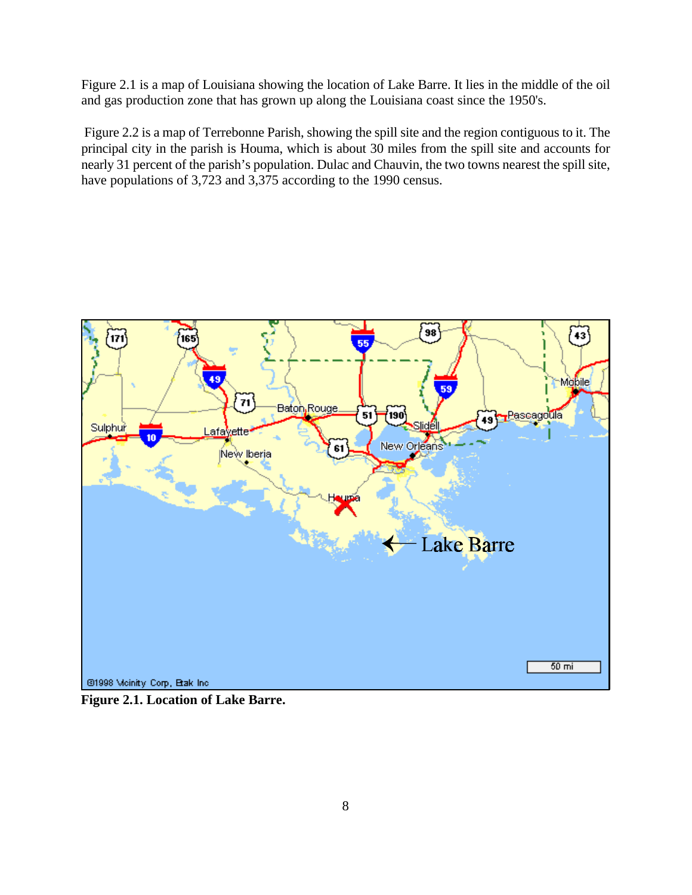Figure 2.1 is a map of Louisiana showing the location of Lake Barre. It lies in the middle of the oil and gas production zone that has grown up along the Louisiana coast since the 1950's.

 Figure 2.2 is a map of Terrebonne Parish, showing the spill site and the region contiguous to it. The principal city in the parish is Houma, which is about 30 miles from the spill site and accounts for nearly 31 percent of the parish's population. Dulac and Chauvin, the two towns nearest the spill site, have populations of 3,723 and 3,375 according to the 1990 census.



**Figure 2.1. Location of Lake Barre.**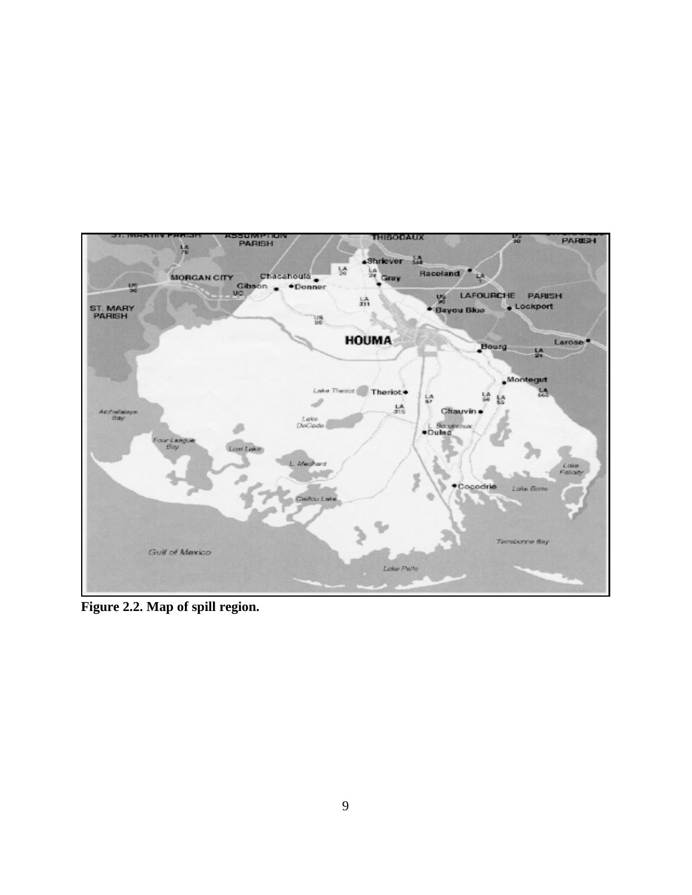

**Figure 2.2. Map of spill region.**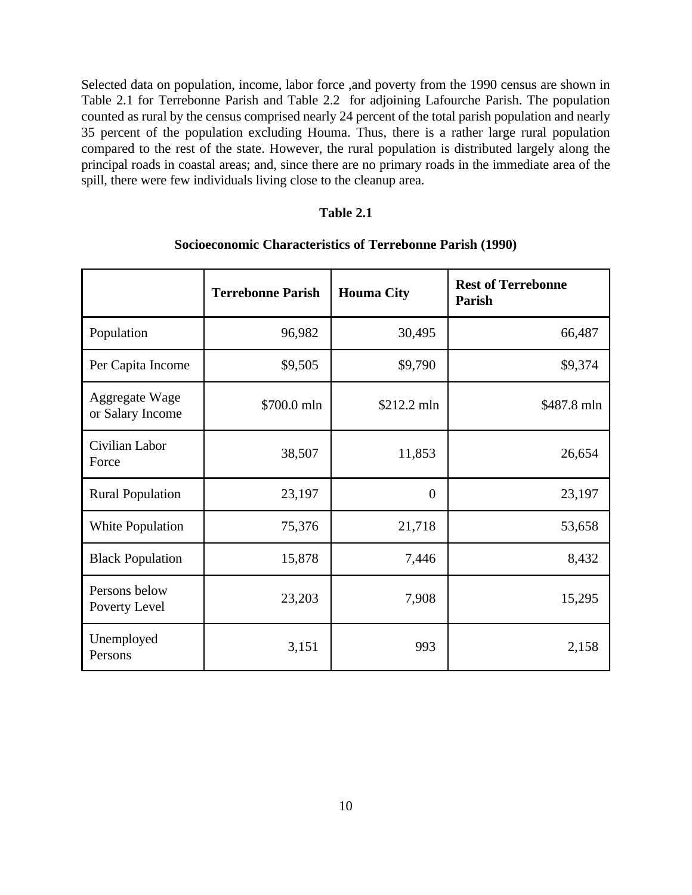Selected data on population, income, labor force ,and poverty from the 1990 census are shown in Table 2.1 for Terrebonne Parish and Table 2.2 for adjoining Lafourche Parish. The population counted as rural by the census comprised nearly 24 percent of the total parish population and nearly 35 percent of the population excluding Houma. Thus, there is a rather large rural population compared to the rest of the state. However, the rural population is distributed largely along the principal roads in coastal areas; and, since there are no primary roads in the immediate area of the spill, there were few individuals living close to the cleanup area.

#### **Table 2.1**

|                                    | <b>Terrebonne Parish</b> | <b>Houma City</b> | <b>Rest of Terrebonne</b><br>Parish |
|------------------------------------|--------------------------|-------------------|-------------------------------------|
| Population                         | 96,982                   | 30,495            | 66,487                              |
| Per Capita Income                  | \$9,505                  | \$9,790           | \$9,374                             |
| Aggregate Wage<br>or Salary Income | \$700.0 mln              | $$212.2$ mln      | \$487.8 mln                         |
| Civilian Labor<br>Force            | 38,507                   | 11,853            | 26,654                              |
| <b>Rural Population</b>            | 23,197                   | $\theta$          | 23,197                              |
| White Population                   | 75,376                   | 21,718            | 53,658                              |
| <b>Black Population</b>            | 15,878                   | 7,446             | 8,432                               |
| Persons below<br>Poverty Level     | 23,203                   | 7,908             | 15,295                              |
| Unemployed<br>Persons              | 3,151                    | 993               | 2,158                               |

## **Socioeconomic Characteristics of Terrebonne Parish (1990)**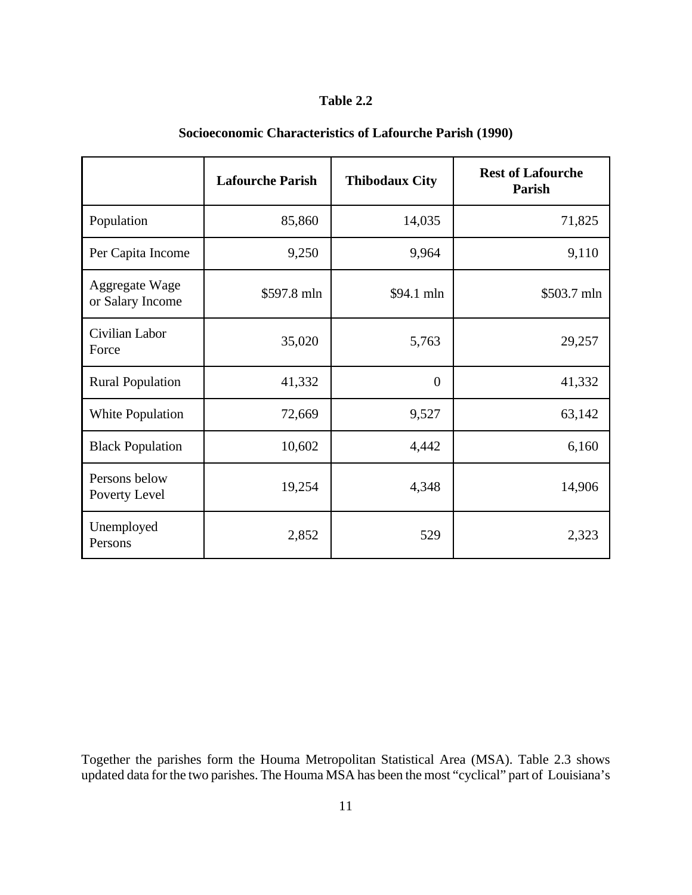## **Table 2.2**

|                                    | <b>Lafourche Parish</b> | <b>Thibodaux City</b> | <b>Rest of Lafourche</b><br>Parish |
|------------------------------------|-------------------------|-----------------------|------------------------------------|
| Population                         | 85,860                  | 14,035                | 71,825                             |
| Per Capita Income                  | 9,250                   | 9,964                 | 9,110                              |
| Aggregate Wage<br>or Salary Income | \$597.8 mln             | \$94.1 mln            | \$503.7 mln                        |
| Civilian Labor<br>Force            | 35,020                  | 5,763                 | 29,257                             |
| <b>Rural Population</b>            | 41,332                  | $\overline{0}$        | 41,332                             |
| White Population                   | 72,669                  | 9,527                 | 63,142                             |
| <b>Black Population</b>            | 10,602                  | 4,442                 | 6,160                              |
| Persons below<br>Poverty Level     | 19,254                  | 4,348                 | 14,906                             |
| Unemployed<br>Persons              | 2,852                   | 529                   | 2,323                              |

# **Socioeconomic Characteristics of Lafourche Parish (1990)**

Together the parishes form the Houma Metropolitan Statistical Area (MSA). Table 2.3 shows updated data for the two parishes. The Houma MSA has been the most "cyclical" part of Louisiana's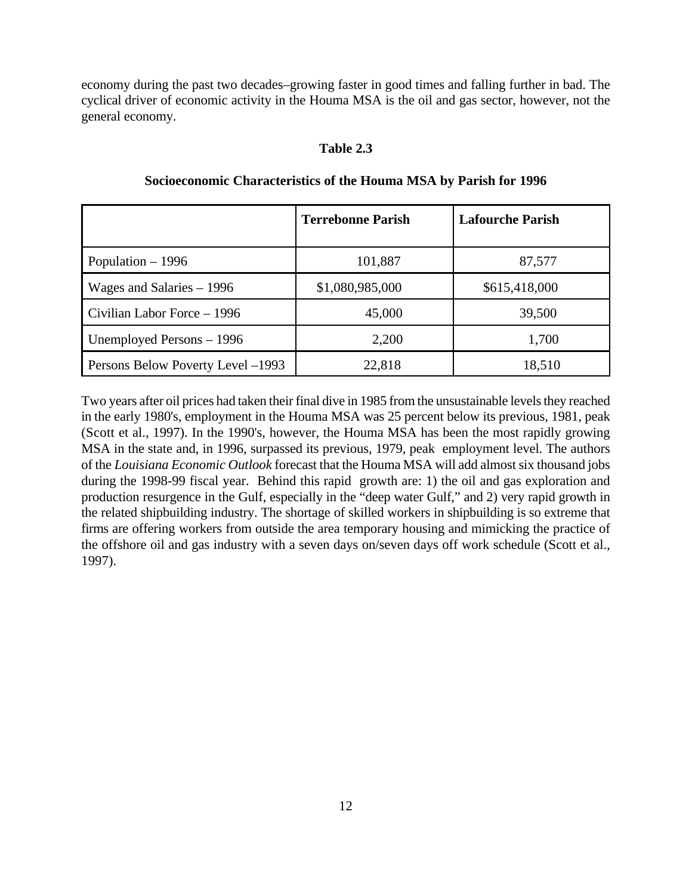economy during the past two decades–growing faster in good times and falling further in bad. The cyclical driver of economic activity in the Houma MSA is the oil and gas sector, however, not the general economy.

## **Table 2.3**

|                                   | <b>Terrebonne Parish</b> | <b>Lafourche Parish</b> |
|-----------------------------------|--------------------------|-------------------------|
| Population $-1996$                | 101,887                  | 87,577                  |
| Wages and Salaries $-1996$        | \$1,080,985,000          | \$615,418,000           |
| Civilian Labor Force - 1996       | 45,000                   | 39,500                  |
| Unemployed Persons – 1996         | 2,200                    | 1,700                   |
| Persons Below Poverty Level –1993 | 22,818                   | 18,510                  |

## **Socioeconomic Characteristics of the Houma MSA by Parish for 1996**

Two years after oil prices had taken their final dive in 1985 from the unsustainable levels they reached in the early 1980's, employment in the Houma MSA was 25 percent below its previous, 1981, peak (Scott et al., 1997). In the 1990's, however, the Houma MSA has been the most rapidly growing MSA in the state and, in 1996, surpassed its previous, 1979, peak employment level. The authors of the *Louisiana Economic Outlook* forecast that the Houma MSA will add almost six thousand jobs during the 1998-99 fiscal year. Behind this rapid growth are: 1) the oil and gas exploration and production resurgence in the Gulf, especially in the "deep water Gulf," and 2) very rapid growth in the related shipbuilding industry. The shortage of skilled workers in shipbuilding is so extreme that firms are offering workers from outside the area temporary housing and mimicking the practice of the offshore oil and gas industry with a seven days on/seven days off work schedule (Scott et al., 1997).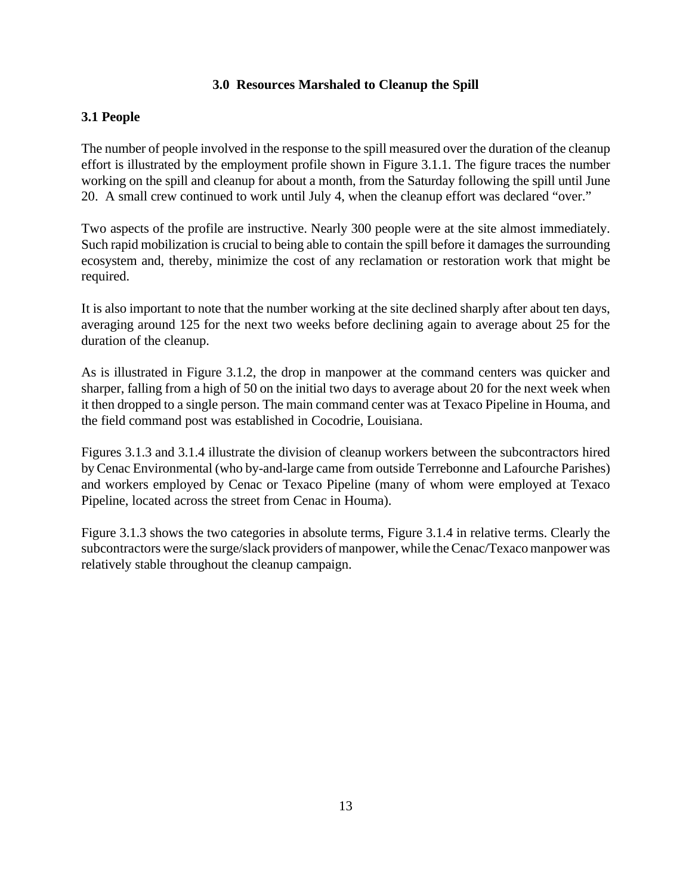## **3.0 Resources Marshaled to Cleanup the Spill**

## **3.1 People**

The number of people involved in the response to the spill measured over the duration of the cleanup effort is illustrated by the employment profile shown in Figure 3.1.1. The figure traces the number working on the spill and cleanup for about a month, from the Saturday following the spill until June 20. A small crew continued to work until July 4, when the cleanup effort was declared "over."

Two aspects of the profile are instructive. Nearly 300 people were at the site almost immediately. Such rapid mobilization is crucial to being able to contain the spill before it damages the surrounding ecosystem and, thereby, minimize the cost of any reclamation or restoration work that might be required.

It is also important to note that the number working at the site declined sharply after about ten days, averaging around 125 for the next two weeks before declining again to average about 25 for the duration of the cleanup.

As is illustrated in Figure 3.1.2, the drop in manpower at the command centers was quicker and sharper, falling from a high of 50 on the initial two days to average about 20 for the next week when it then dropped to a single person. The main command center was at Texaco Pipeline in Houma, and the field command post was established in Cocodrie, Louisiana.

Figures 3.1.3 and 3.1.4 illustrate the division of cleanup workers between the subcontractors hired by Cenac Environmental (who by-and-large came from outside Terrebonne and Lafourche Parishes) and workers employed by Cenac or Texaco Pipeline (many of whom were employed at Texaco Pipeline, located across the street from Cenac in Houma).

Figure 3.1.3 shows the two categories in absolute terms, Figure 3.1.4 in relative terms. Clearly the subcontractors were the surge/slack providers of manpower, while the Cenac/Texaco manpower was relatively stable throughout the cleanup campaign.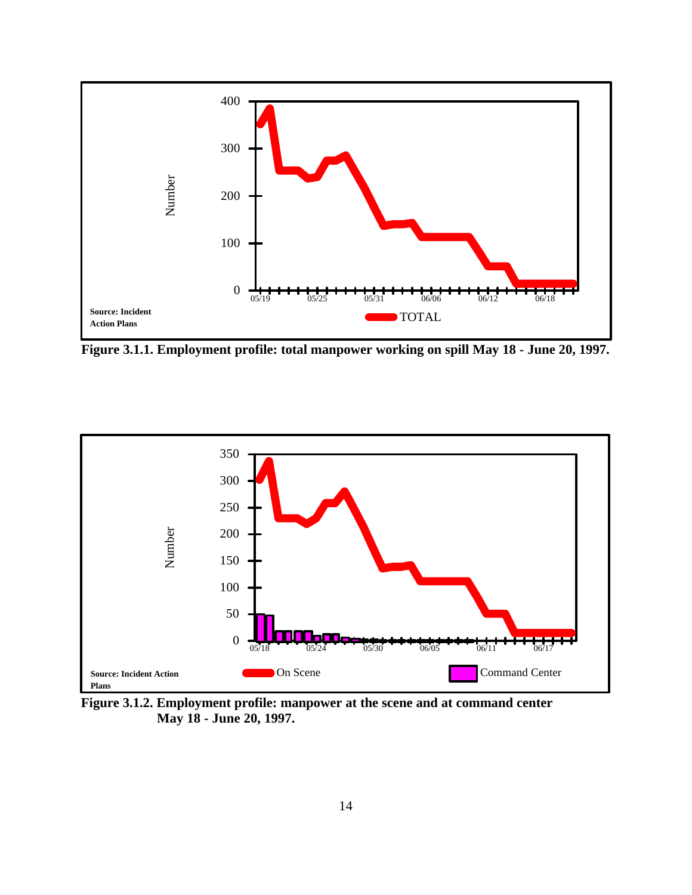

**Figure 3.1.1. Employment profile: total manpower working on spill May 18 - June 20, 1997.**



**Figure 3.1.2. Employment profile: manpower at the scene and at command center May 18 - June 20, 1997.**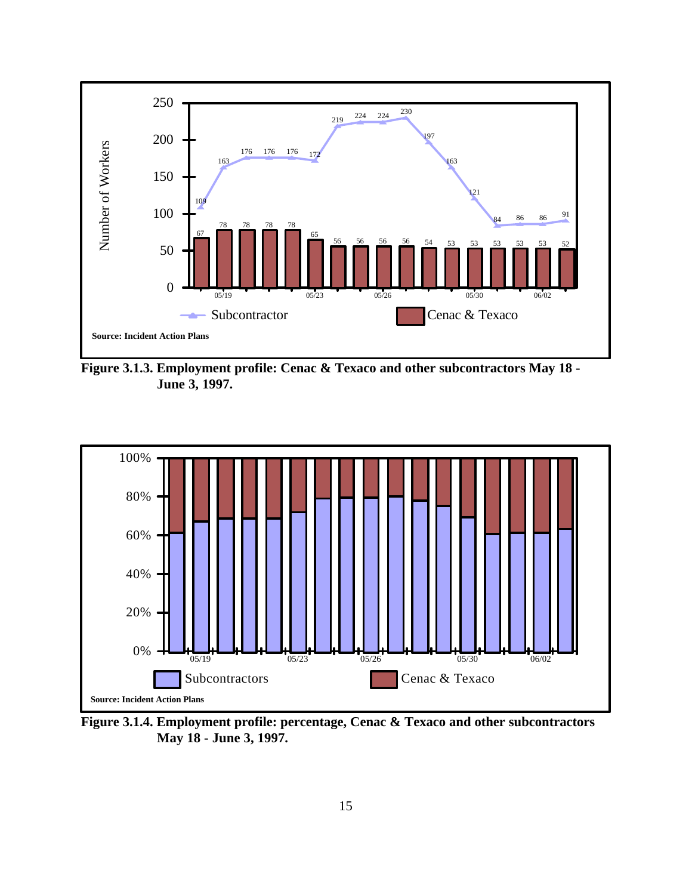

**Figure 3.1.3. Employment profile: Cenac & Texaco and other subcontractors May 18 - June 3, 1997.**



**Figure 3.1.4. Employment profile: percentage, Cenac & Texaco and other subcontractors May 18 - June 3, 1997.**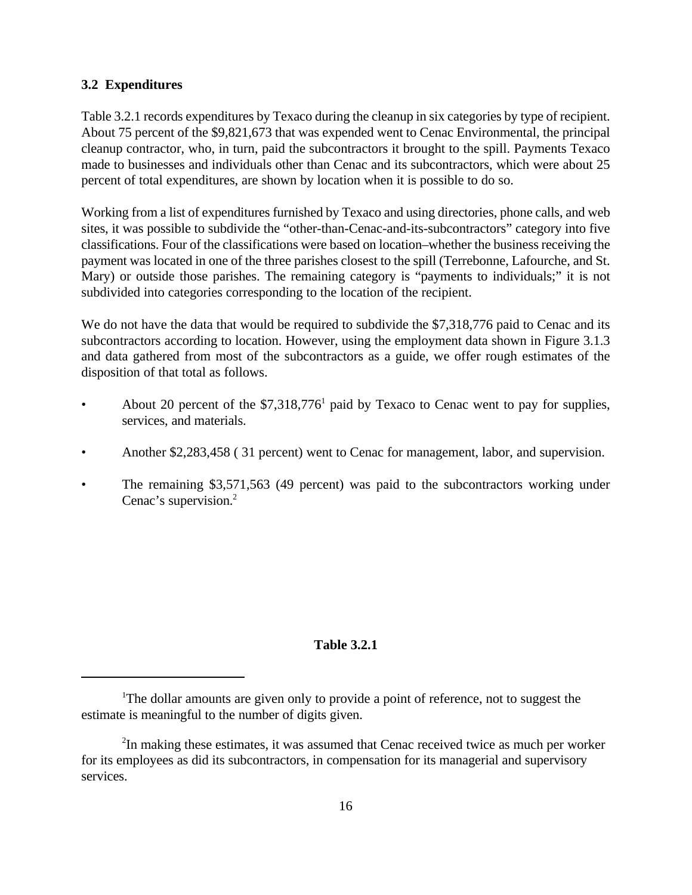## **3.2 Expenditures**

Table 3.2.1 records expenditures by Texaco during the cleanup in six categories by type of recipient. About 75 percent of the \$9,821,673 that was expended went to Cenac Environmental, the principal cleanup contractor, who, in turn, paid the subcontractors it brought to the spill. Payments Texaco made to businesses and individuals other than Cenac and its subcontractors, which were about 25 percent of total expenditures, are shown by location when it is possible to do so.

Working from a list of expenditures furnished by Texaco and using directories, phone calls, and web sites, it was possible to subdivide the "other-than-Cenac-and-its-subcontractors" category into five classifications. Four of the classifications were based on location–whether the business receiving the payment was located in one of the three parishes closest to the spill (Terrebonne, Lafourche, and St. Mary) or outside those parishes. The remaining category is "payments to individuals;" it is not subdivided into categories corresponding to the location of the recipient.

We do not have the data that would be required to subdivide the \$7,318,776 paid to Cenac and its subcontractors according to location. However, using the employment data shown in Figure 3.1.3 and data gathered from most of the subcontractors as a guide, we offer rough estimates of the disposition of that total as follows.

- About 20 percent of the \$7,318,776<sup>1</sup> paid by Texaco to Cenac went to pay for supplies, services, and materials.
- Another \$2,283,458 ( 31 percent) went to Cenac for management, labor, and supervision.
- The remaining \$3,571,563 (49 percent) was paid to the subcontractors working under Cenac's supervision.<sup>2</sup>

## **Table 3.2.1**

<sup>&</sup>lt;sup>1</sup>The dollar amounts are given only to provide a point of reference, not to suggest the estimate is meaningful to the number of digits given.

<sup>&</sup>lt;sup>2</sup>In making these estimates, it was assumed that Cenac received twice as much per worker for its employees as did its subcontractors, in compensation for its managerial and supervisory services.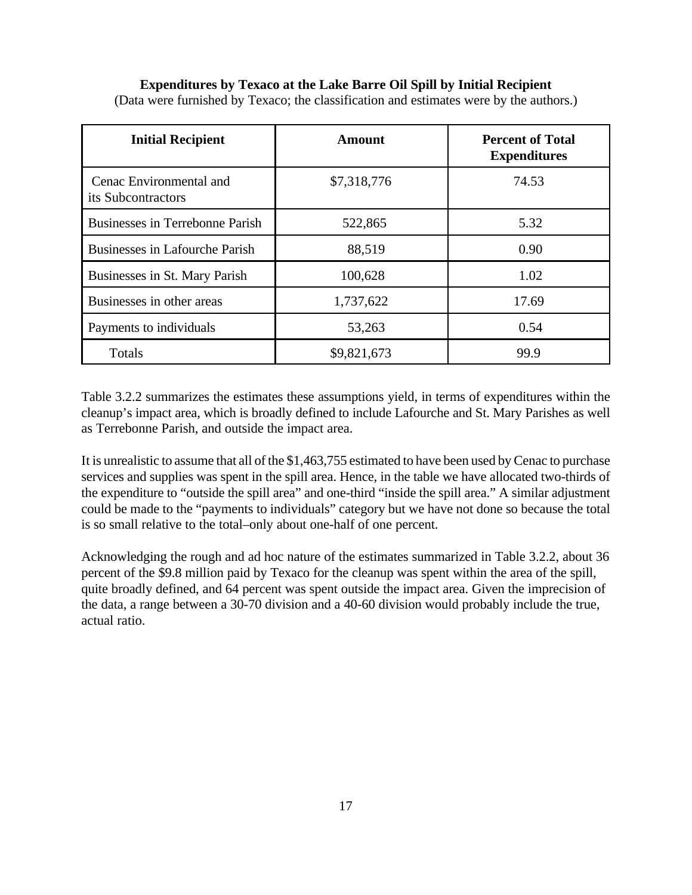## **Expenditures by Texaco at the Lake Barre Oil Spill by Initial Recipient**

| <b>Initial Recipient</b>                      | Amount      | <b>Percent of Total</b><br><b>Expenditures</b> |
|-----------------------------------------------|-------------|------------------------------------------------|
| Cenac Environmental and<br>its Subcontractors | \$7,318,776 | 74.53                                          |
| Businesses in Terrebonne Parish               | 522,865     | 5.32                                           |
| <b>Businesses in Lafourche Parish</b>         | 88,519      | 0.90                                           |
| Businesses in St. Mary Parish                 | 100,628     | 1.02                                           |
| Businesses in other areas                     | 1,737,622   | 17.69                                          |
| Payments to individuals                       | 53,263      | 0.54                                           |
| Totals                                        | \$9,821,673 | 99.9                                           |

(Data were furnished by Texaco; the classification and estimates were by the authors.)

Table 3.2.2 summarizes the estimates these assumptions yield, in terms of expenditures within the cleanup's impact area, which is broadly defined to include Lafourche and St. Mary Parishes as well as Terrebonne Parish, and outside the impact area.

It is unrealistic to assume that all of the \$1,463,755 estimated to have been used by Cenac to purchase services and supplies was spent in the spill area. Hence, in the table we have allocated two-thirds of the expenditure to "outside the spill area" and one-third "inside the spill area." A similar adjustment could be made to the "payments to individuals" category but we have not done so because the total is so small relative to the total–only about one-half of one percent.

Acknowledging the rough and ad hoc nature of the estimates summarized in Table 3.2.2, about 36 percent of the \$9.8 million paid by Texaco for the cleanup was spent within the area of the spill, quite broadly defined, and 64 percent was spent outside the impact area. Given the imprecision of the data, a range between a 30-70 division and a 40-60 division would probably include the true, actual ratio.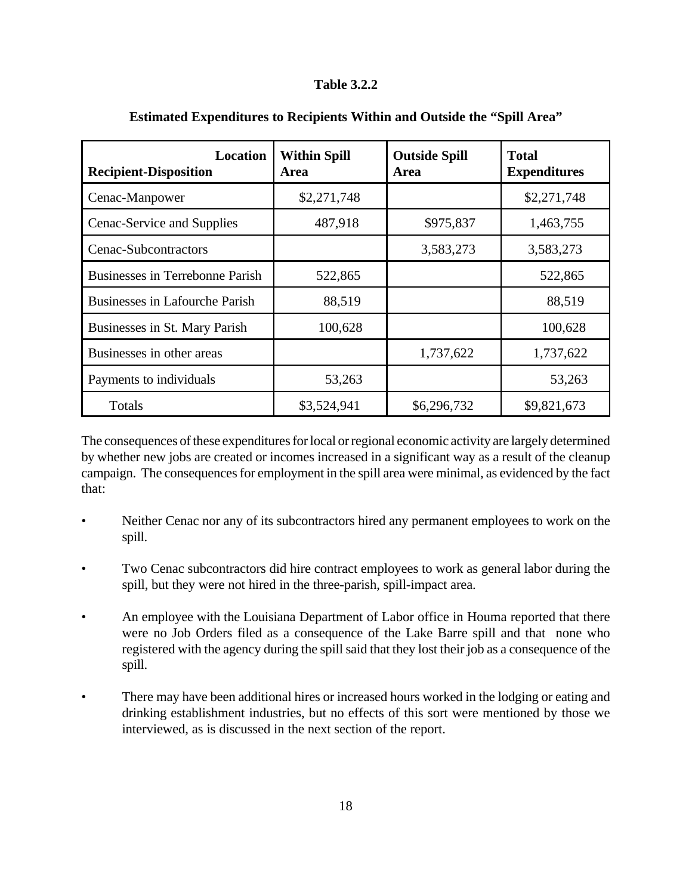## **Table 3.2.2**

| <b>Location</b><br><b>Recipient-Disposition</b> | <b>Within Spill</b><br>Area | <b>Outside Spill</b><br>Area | <b>Total</b><br><b>Expenditures</b> |
|-------------------------------------------------|-----------------------------|------------------------------|-------------------------------------|
| Cenac-Manpower                                  | \$2,271,748                 |                              | \$2,271,748                         |
| Cenac-Service and Supplies                      | 487,918                     | \$975,837                    | 1,463,755                           |
| Cenac-Subcontractors                            |                             | 3,583,273                    | 3,583,273                           |
| Businesses in Terrebonne Parish                 | 522,865                     |                              | 522,865                             |
| <b>Businesses in Lafourche Parish</b>           | 88,519                      |                              | 88,519                              |
| Businesses in St. Mary Parish                   | 100,628                     |                              | 100,628                             |
| Businesses in other areas                       |                             | 1,737,622                    | 1,737,622                           |
| Payments to individuals                         | 53,263                      |                              | 53,263                              |
| Totals                                          | \$3,524,941                 | \$6,296,732                  | \$9,821,673                         |

## **Estimated Expenditures to Recipients Within and Outside the "Spill Area"**

The consequences of these expenditures for local or regional economic activity are largely determined by whether new jobs are created or incomes increased in a significant way as a result of the cleanup campaign. The consequences for employment in the spill area were minimal, as evidenced by the fact that:

- Neither Cenac nor any of its subcontractors hired any permanent employees to work on the spill.
- Two Cenac subcontractors did hire contract employees to work as general labor during the spill, but they were not hired in the three-parish, spill-impact area.
- An employee with the Louisiana Department of Labor office in Houma reported that there were no Job Orders filed as a consequence of the Lake Barre spill and that none who registered with the agency during the spill said that they lost their job as a consequence of the spill.
- There may have been additional hires or increased hours worked in the lodging or eating and drinking establishment industries, but no effects of this sort were mentioned by those we interviewed, as is discussed in the next section of the report.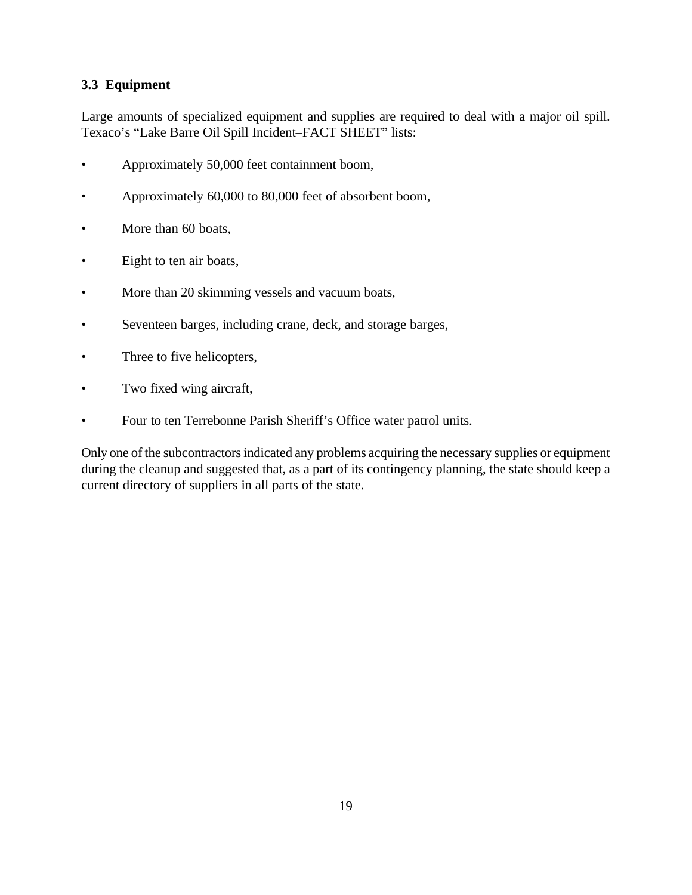## **3.3 Equipment**

Large amounts of specialized equipment and supplies are required to deal with a major oil spill. Texaco's "Lake Barre Oil Spill Incident–FACT SHEET" lists:

- Approximately 50,000 feet containment boom,
- Approximately 60,000 to 80,000 feet of absorbent boom,
- More than 60 boats,
- Eight to ten air boats,
- More than 20 skimming vessels and vacuum boats,
- Seventeen barges, including crane, deck, and storage barges,
- Three to five helicopters,
- Two fixed wing aircraft,
- Four to ten Terrebonne Parish Sheriff's Office water patrol units.

Only one of the subcontractors indicated any problems acquiring the necessary supplies or equipment during the cleanup and suggested that, as a part of its contingency planning, the state should keep a current directory of suppliers in all parts of the state.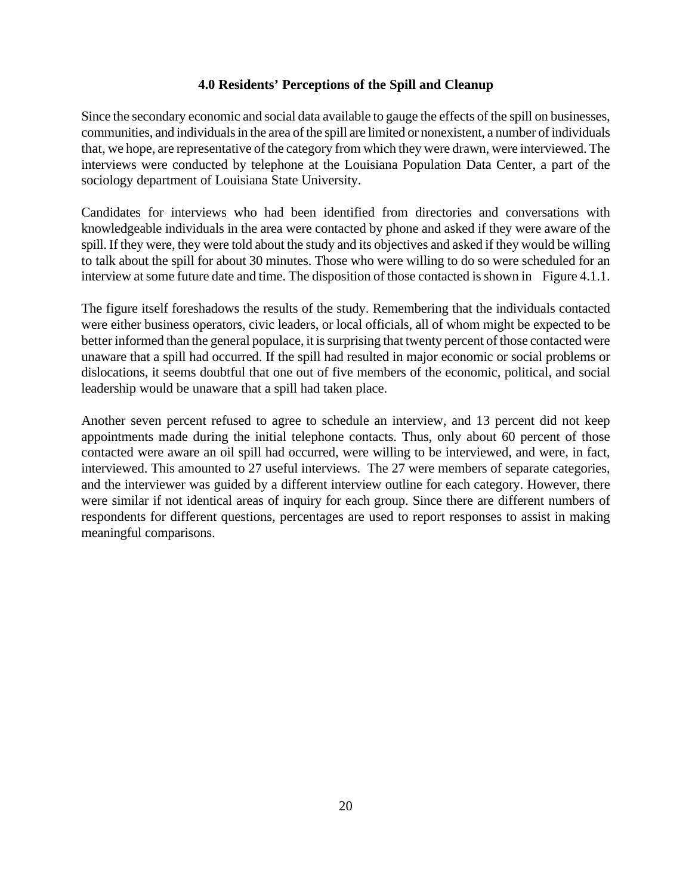#### **4.0 Residents' Perceptions of the Spill and Cleanup**

Since the secondary economic and social data available to gauge the effects of the spill on businesses, communities, and individuals in the area of the spill are limited or nonexistent, a number of individuals that, we hope, are representative of the category from which they were drawn, were interviewed. The interviews were conducted by telephone at the Louisiana Population Data Center, a part of the sociology department of Louisiana State University.

Candidates for interviews who had been identified from directories and conversations with knowledgeable individuals in the area were contacted by phone and asked if they were aware of the spill. If they were, they were told about the study and its objectives and asked if they would be willing to talk about the spill for about 30 minutes. Those who were willing to do so were scheduled for an interview at some future date and time. The disposition of those contacted is shown in Figure 4.1.1.

The figure itself foreshadows the results of the study. Remembering that the individuals contacted were either business operators, civic leaders, or local officials, all of whom might be expected to be better informed than the general populace, it is surprising that twenty percent of those contacted were unaware that a spill had occurred. If the spill had resulted in major economic or social problems or dislocations, it seems doubtful that one out of five members of the economic, political, and social leadership would be unaware that a spill had taken place.

Another seven percent refused to agree to schedule an interview, and 13 percent did not keep appointments made during the initial telephone contacts. Thus, only about 60 percent of those contacted were aware an oil spill had occurred, were willing to be interviewed, and were, in fact, interviewed. This amounted to 27 useful interviews. The 27 were members of separate categories, and the interviewer was guided by a different interview outline for each category. However, there were similar if not identical areas of inquiry for each group. Since there are different numbers of respondents for different questions, percentages are used to report responses to assist in making meaningful comparisons.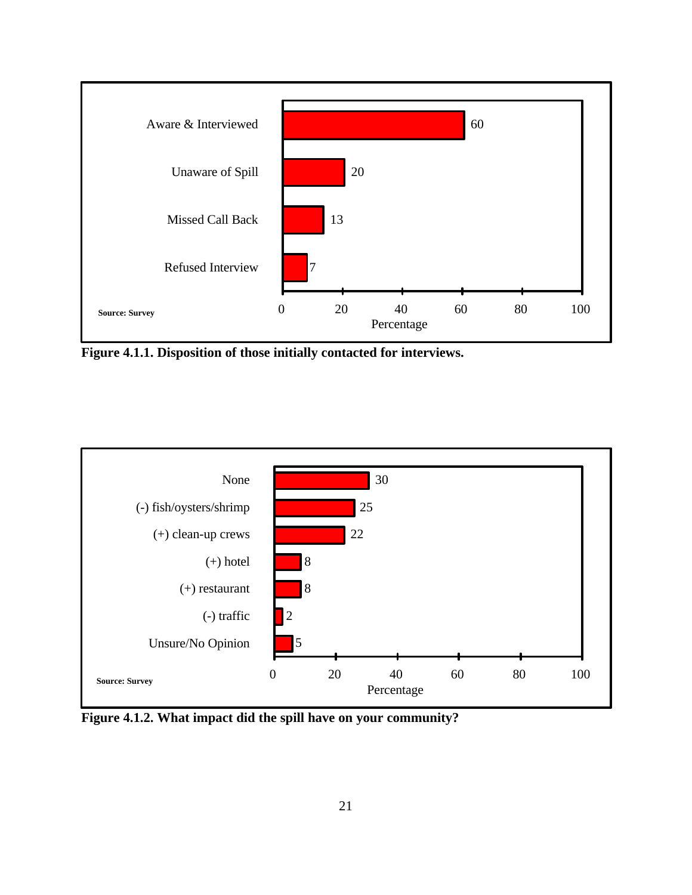

**Figure 4.1.1. Disposition of those initially contacted for interviews.**



**Figure 4.1.2. What impact did the spill have on your community?**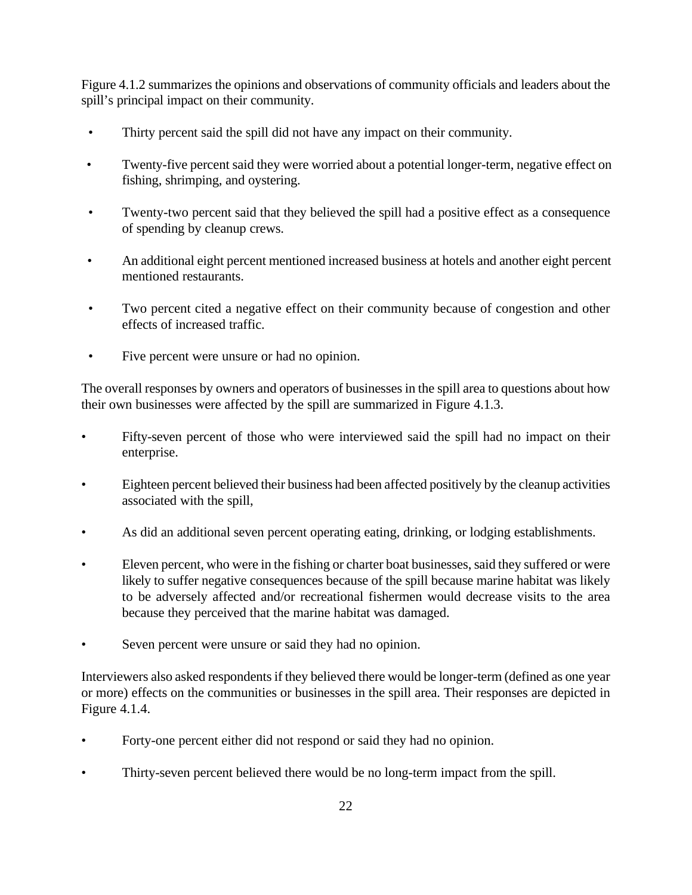Figure 4.1.2 summarizes the opinions and observations of community officials and leaders about the spill's principal impact on their community.

- Thirty percent said the spill did not have any impact on their community.
- Twenty-five percent said they were worried about a potential longer-term, negative effect on fishing, shrimping, and oystering.
- Twenty-two percent said that they believed the spill had a positive effect as a consequence of spending by cleanup crews.
- An additional eight percent mentioned increased business at hotels and another eight percent mentioned restaurants.
- Two percent cited a negative effect on their community because of congestion and other effects of increased traffic.
- Five percent were unsure or had no opinion.

The overall responses by owners and operators of businesses in the spill area to questions about how their own businesses were affected by the spill are summarized in Figure 4.1.3.

- Fifty-seven percent of those who were interviewed said the spill had no impact on their enterprise.
- Eighteen percent believed their business had been affected positively by the cleanup activities associated with the spill,
- As did an additional seven percent operating eating, drinking, or lodging establishments.
- Eleven percent, who were in the fishing or charter boat businesses, said they suffered or were likely to suffer negative consequences because of the spill because marine habitat was likely to be adversely affected and/or recreational fishermen would decrease visits to the area because they perceived that the marine habitat was damaged.
- Seven percent were unsure or said they had no opinion.

Interviewers also asked respondents if they believed there would be longer-term (defined as one year or more) effects on the communities or businesses in the spill area. Their responses are depicted in Figure 4.1.4.

- Forty-one percent either did not respond or said they had no opinion.
- Thirty-seven percent believed there would be no long-term impact from the spill.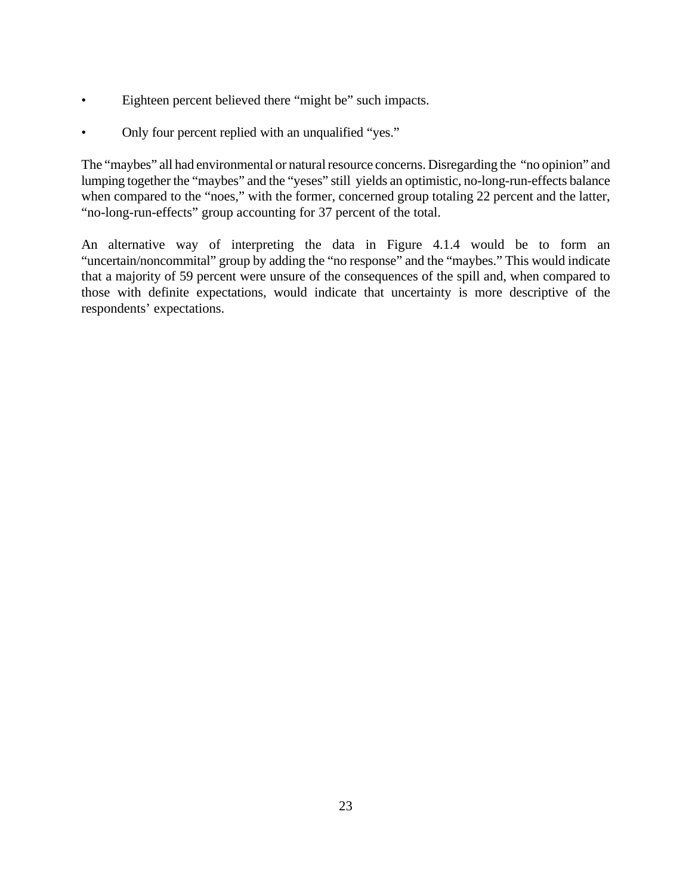- Eighteen percent believed there "might be" such impacts.
- Only four percent replied with an unqualified "yes."

The "maybes" all had environmental or natural resource concerns. Disregarding the "no opinion" and lumping together the "maybes" and the "yeses" still yields an optimistic, no-long-run-effects balance when compared to the "noes," with the former, concerned group totaling 22 percent and the latter, "no-long-run-effects" group accounting for 37 percent of the total.

An alternative way of interpreting the data in Figure 4.1.4 would be to form an "uncertain/noncommital" group by adding the "no response" and the "maybes." This would indicate that a majority of 59 percent were unsure of the consequences of the spill and, when compared to those with definite expectations, would indicate that uncertainty is more descriptive of the respondents' expectations.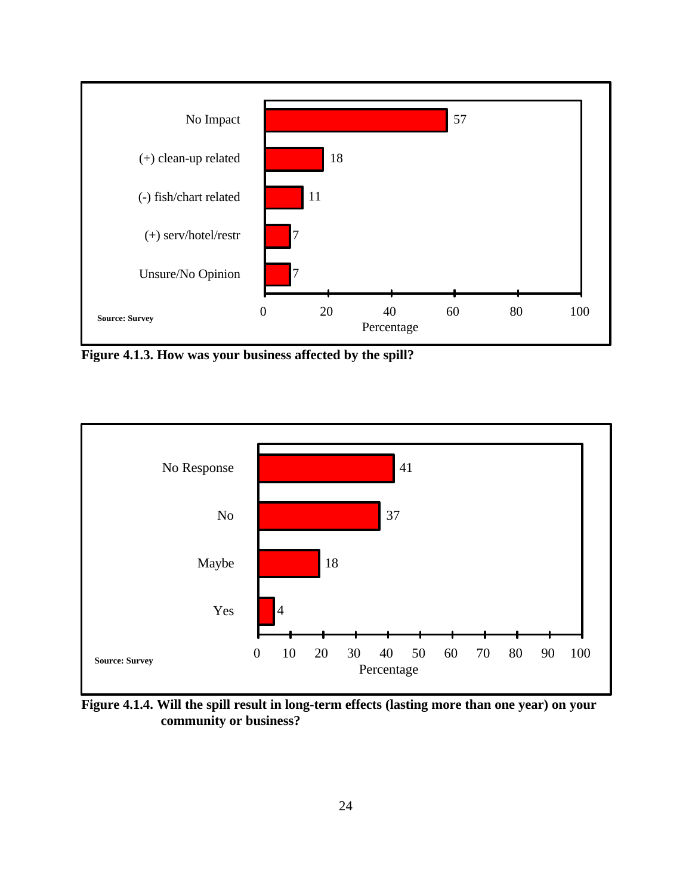

**Figure 4.1.3. How was your business affected by the spill?**



**Figure 4.1.4. Will the spill result in long-term effects (lasting more than one year) on your community or business?**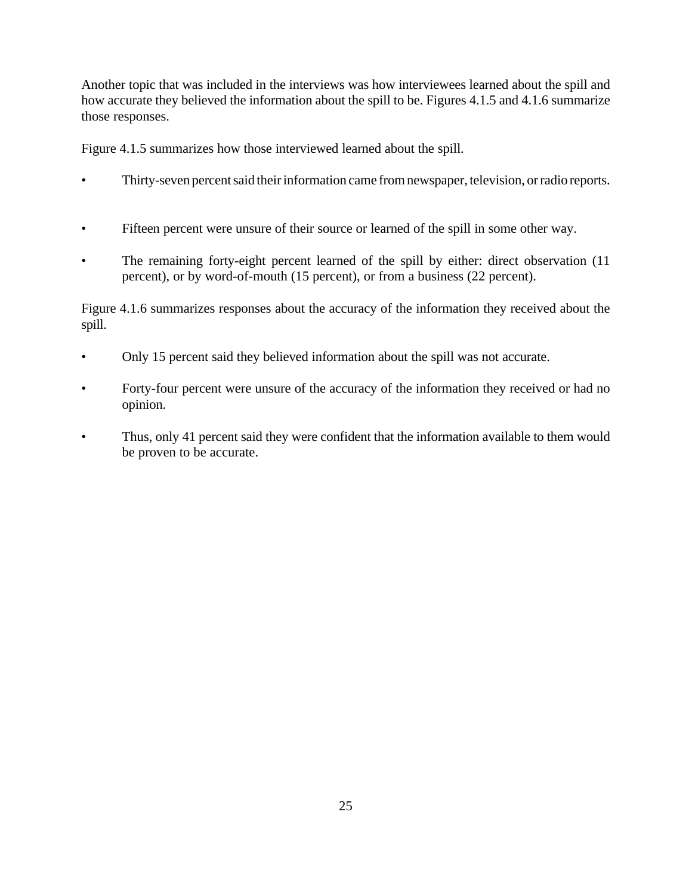Another topic that was included in the interviews was how interviewees learned about the spill and how accurate they believed the information about the spill to be. Figures 4.1.5 and 4.1.6 summarize those responses.

Figure 4.1.5 summarizes how those interviewed learned about the spill.

- Thirty-seven percent said their information came from newspaper, television, or radio reports.
- Fifteen percent were unsure of their source or learned of the spill in some other way.
- The remaining forty-eight percent learned of the spill by either: direct observation (11) percent), or by word-of-mouth (15 percent), or from a business (22 percent).

Figure 4.1.6 summarizes responses about the accuracy of the information they received about the spill.

- Only 15 percent said they believed information about the spill was not accurate.
- Forty-four percent were unsure of the accuracy of the information they received or had no opinion.
- Thus, only 41 percent said they were confident that the information available to them would be proven to be accurate.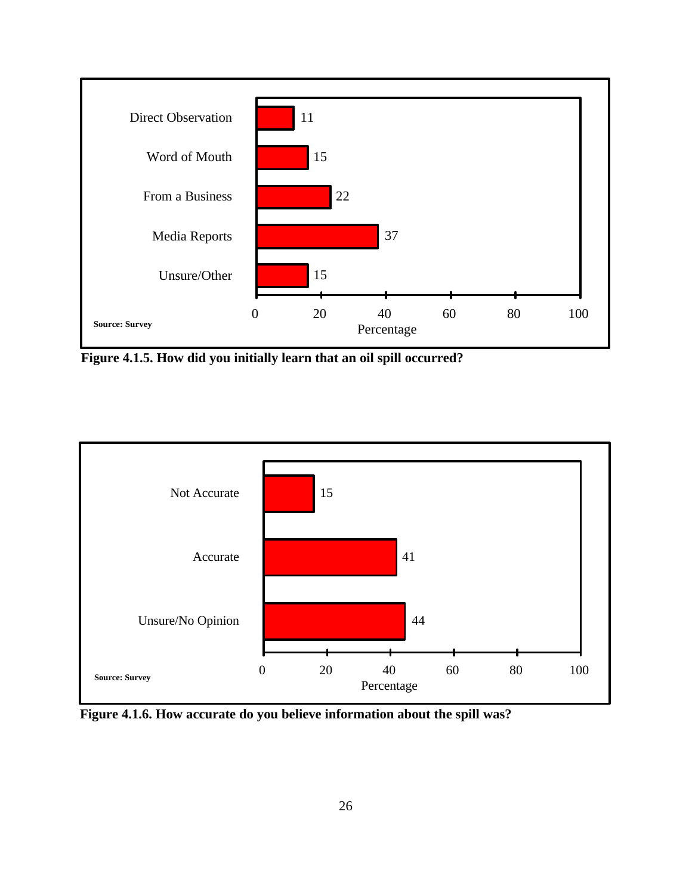

**Figure 4.1.5. How did you initially learn that an oil spill occurred?**



**Figure 4.1.6. How accurate do you believe information about the spill was?**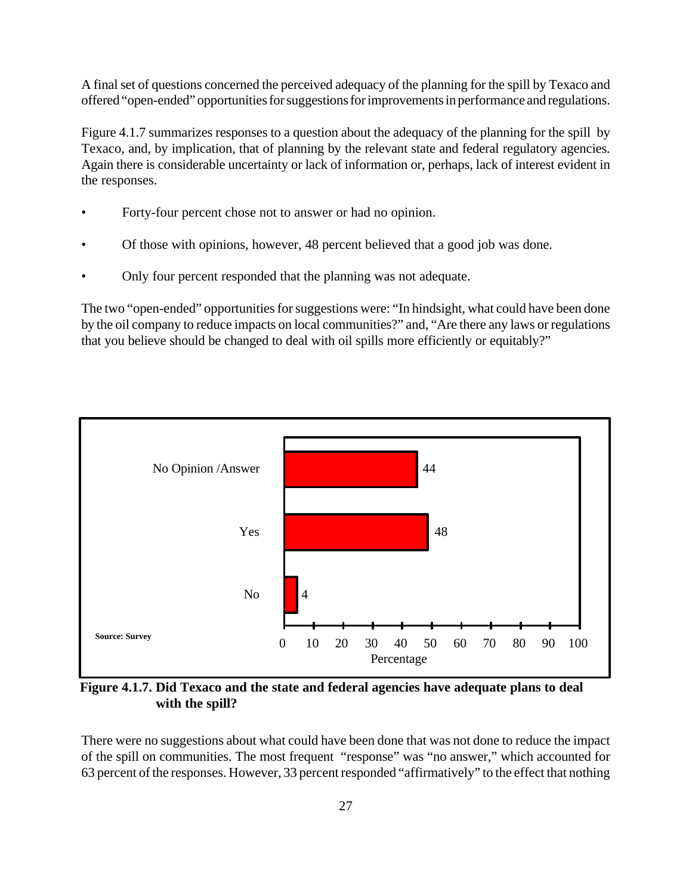A final set of questions concerned the perceived adequacy of the planning for the spill by Texaco and offered "open-ended" opportunities for suggestions for improvements in performance and regulations.

Figure 4.1.7 summarizes responses to a question about the adequacy of the planning for the spill by Texaco, and, by implication, that of planning by the relevant state and federal regulatory agencies. Again there is considerable uncertainty or lack of information or, perhaps, lack of interest evident in the responses.

- Forty-four percent chose not to answer or had no opinion.
- Of those with opinions, however, 48 percent believed that a good job was done.
- Only four percent responded that the planning was not adequate.

The two "open-ended" opportunities for suggestions were: "In hindsight, what could have been done by the oil company to reduce impacts on local communities?" and, "Are there any laws or regulations that you believe should be changed to deal with oil spills more efficiently or equitably?"



**Figure 4.1.7. Did Texaco and the state and federal agencies have adequate plans to deal with the spill?**

There were no suggestions about what could have been done that was not done to reduce the impact of the spill on communities. The most frequent "response" was "no answer," which accounted for 63 percent of the responses. However, 33 percent responded "affirmatively" to the effect that nothing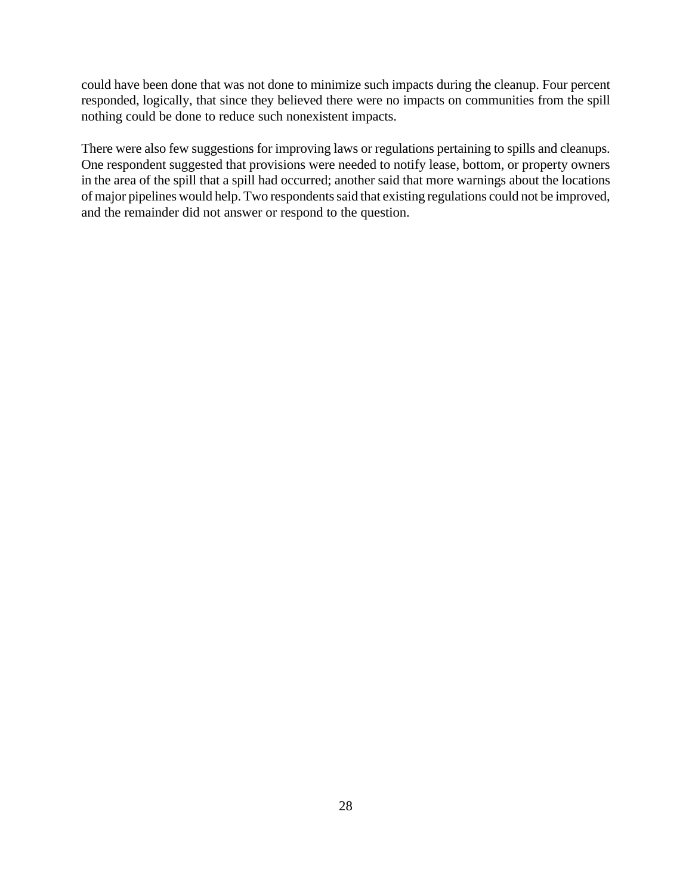could have been done that was not done to minimize such impacts during the cleanup. Four percent responded, logically, that since they believed there were no impacts on communities from the spill nothing could be done to reduce such nonexistent impacts.

There were also few suggestions for improving laws or regulations pertaining to spills and cleanups. One respondent suggested that provisions were needed to notify lease, bottom, or property owners in the area of the spill that a spill had occurred; another said that more warnings about the locations of major pipelines would help. Two respondents said that existing regulations could not be improved, and the remainder did not answer or respond to the question.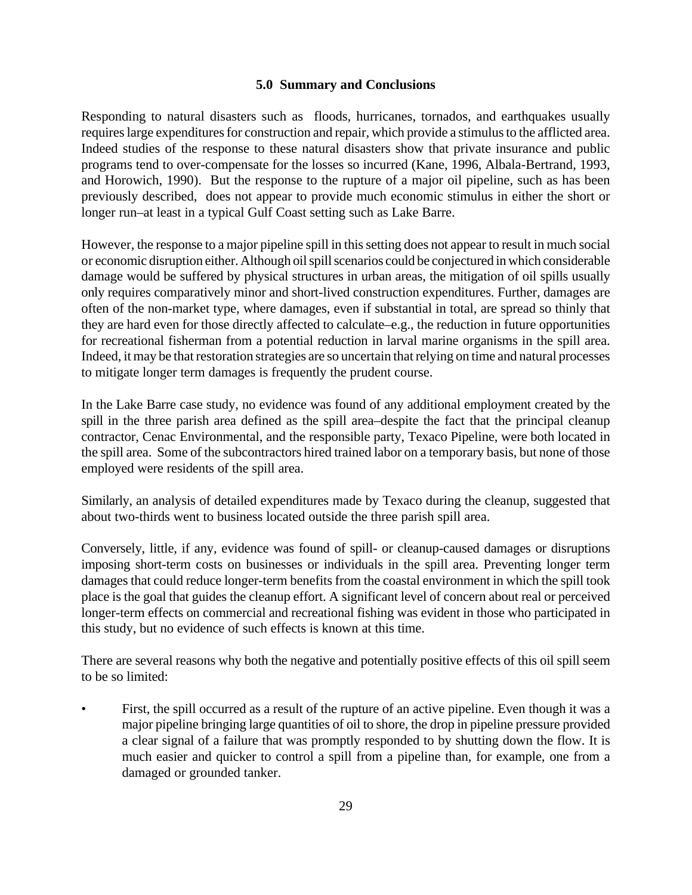## **5.0 Summary and Conclusions**

Responding to natural disasters such as floods, hurricanes, tornados, and earthquakes usually requires large expenditures for construction and repair, which provide a stimulus to the afflicted area. Indeed studies of the response to these natural disasters show that private insurance and public programs tend to over-compensate for the losses so incurred (Kane, 1996, Albala-Bertrand, 1993, and Horowich, 1990). But the response to the rupture of a major oil pipeline, such as has been previously described, does not appear to provide much economic stimulus in either the short or longer run–at least in a typical Gulf Coast setting such as Lake Barre.

However, the response to a major pipeline spill in this setting does not appear to result in much social or economic disruption either. Although oil spill scenarios could be conjectured in which considerable damage would be suffered by physical structures in urban areas, the mitigation of oil spills usually only requires comparatively minor and short-lived construction expenditures. Further, damages are often of the non-market type, where damages, even if substantial in total, are spread so thinly that they are hard even for those directly affected to calculate–e.g., the reduction in future opportunities for recreational fisherman from a potential reduction in larval marine organisms in the spill area. Indeed, it may be that restoration strategies are so uncertain that relying on time and natural processes to mitigate longer term damages is frequently the prudent course.

In the Lake Barre case study, no evidence was found of any additional employment created by the spill in the three parish area defined as the spill area–despite the fact that the principal cleanup contractor, Cenac Environmental, and the responsible party, Texaco Pipeline, were both located in the spill area. Some of the subcontractors hired trained labor on a temporary basis, but none of those employed were residents of the spill area.

Similarly, an analysis of detailed expenditures made by Texaco during the cleanup, suggested that about two-thirds went to business located outside the three parish spill area.

Conversely, little, if any, evidence was found of spill- or cleanup-caused damages or disruptions imposing short-term costs on businesses or individuals in the spill area. Preventing longer term damages that could reduce longer-term benefits from the coastal environment in which the spill took place is the goal that guides the cleanup effort. A significant level of concern about real or perceived longer-term effects on commercial and recreational fishing was evident in those who participated in this study, but no evidence of such effects is known at this time.

There are several reasons why both the negative and potentially positive effects of this oil spill seem to be so limited:

• First, the spill occurred as a result of the rupture of an active pipeline. Even though it was a major pipeline bringing large quantities of oil to shore, the drop in pipeline pressure provided a clear signal of a failure that was promptly responded to by shutting down the flow. It is much easier and quicker to control a spill from a pipeline than, for example, one from a damaged or grounded tanker.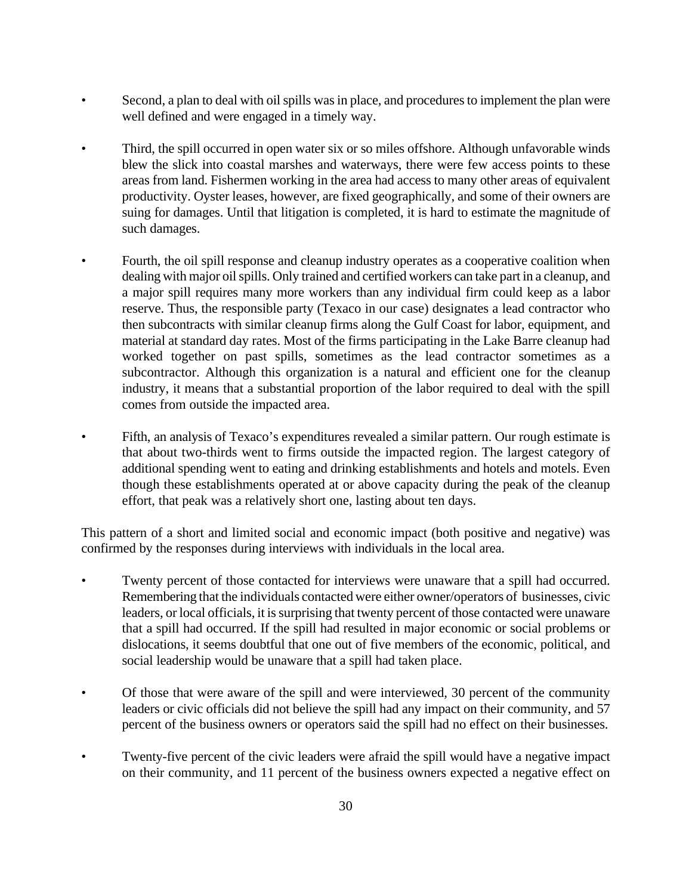- Second, a plan to deal with oil spills was in place, and procedures to implement the plan were well defined and were engaged in a timely way.
- Third, the spill occurred in open water six or so miles offshore. Although unfavorable winds blew the slick into coastal marshes and waterways, there were few access points to these areas from land. Fishermen working in the area had access to many other areas of equivalent productivity. Oyster leases, however, are fixed geographically, and some of their owners are suing for damages. Until that litigation is completed, it is hard to estimate the magnitude of such damages.
- Fourth, the oil spill response and cleanup industry operates as a cooperative coalition when dealing with major oil spills. Only trained and certified workers can take part in a cleanup, and a major spill requires many more workers than any individual firm could keep as a labor reserve. Thus, the responsible party (Texaco in our case) designates a lead contractor who then subcontracts with similar cleanup firms along the Gulf Coast for labor, equipment, and material at standard day rates. Most of the firms participating in the Lake Barre cleanup had worked together on past spills, sometimes as the lead contractor sometimes as a subcontractor. Although this organization is a natural and efficient one for the cleanup industry, it means that a substantial proportion of the labor required to deal with the spill comes from outside the impacted area.
- Fifth, an analysis of Texaco's expenditures revealed a similar pattern. Our rough estimate is that about two-thirds went to firms outside the impacted region. The largest category of additional spending went to eating and drinking establishments and hotels and motels. Even though these establishments operated at or above capacity during the peak of the cleanup effort, that peak was a relatively short one, lasting about ten days.

This pattern of a short and limited social and economic impact (both positive and negative) was confirmed by the responses during interviews with individuals in the local area.

- Twenty percent of those contacted for interviews were unaware that a spill had occurred. Remembering that the individuals contacted were either owner/operators of businesses, civic leaders, or local officials, it is surprising that twenty percent of those contacted were unaware that a spill had occurred. If the spill had resulted in major economic or social problems or dislocations, it seems doubtful that one out of five members of the economic, political, and social leadership would be unaware that a spill had taken place.
- Of those that were aware of the spill and were interviewed, 30 percent of the community leaders or civic officials did not believe the spill had any impact on their community, and 57 percent of the business owners or operators said the spill had no effect on their businesses.
- Twenty-five percent of the civic leaders were afraid the spill would have a negative impact on their community, and 11 percent of the business owners expected a negative effect on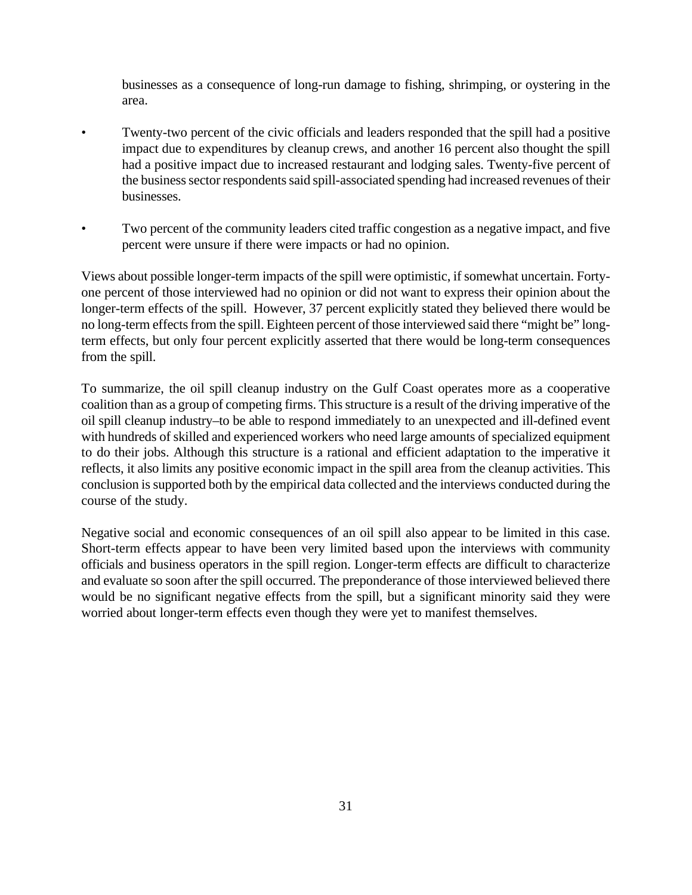businesses as a consequence of long-run damage to fishing, shrimping, or oystering in the area.

- Twenty-two percent of the civic officials and leaders responded that the spill had a positive impact due to expenditures by cleanup crews, and another 16 percent also thought the spill had a positive impact due to increased restaurant and lodging sales. Twenty-five percent of the business sector respondents said spill-associated spending had increased revenues of their businesses.
- Two percent of the community leaders cited traffic congestion as a negative impact, and five percent were unsure if there were impacts or had no opinion.

Views about possible longer-term impacts of the spill were optimistic, if somewhat uncertain. Fortyone percent of those interviewed had no opinion or did not want to express their opinion about the longer-term effects of the spill. However, 37 percent explicitly stated they believed there would be no long-term effects from the spill. Eighteen percent of those interviewed said there "might be" longterm effects, but only four percent explicitly asserted that there would be long-term consequences from the spill.

To summarize, the oil spill cleanup industry on the Gulf Coast operates more as a cooperative coalition than as a group of competing firms. This structure is a result of the driving imperative of the oil spill cleanup industry–to be able to respond immediately to an unexpected and ill-defined event with hundreds of skilled and experienced workers who need large amounts of specialized equipment to do their jobs. Although this structure is a rational and efficient adaptation to the imperative it reflects, it also limits any positive economic impact in the spill area from the cleanup activities. This conclusion is supported both by the empirical data collected and the interviews conducted during the course of the study.

Negative social and economic consequences of an oil spill also appear to be limited in this case. Short-term effects appear to have been very limited based upon the interviews with community officials and business operators in the spill region. Longer-term effects are difficult to characterize and evaluate so soon after the spill occurred. The preponderance of those interviewed believed there would be no significant negative effects from the spill, but a significant minority said they were worried about longer-term effects even though they were yet to manifest themselves.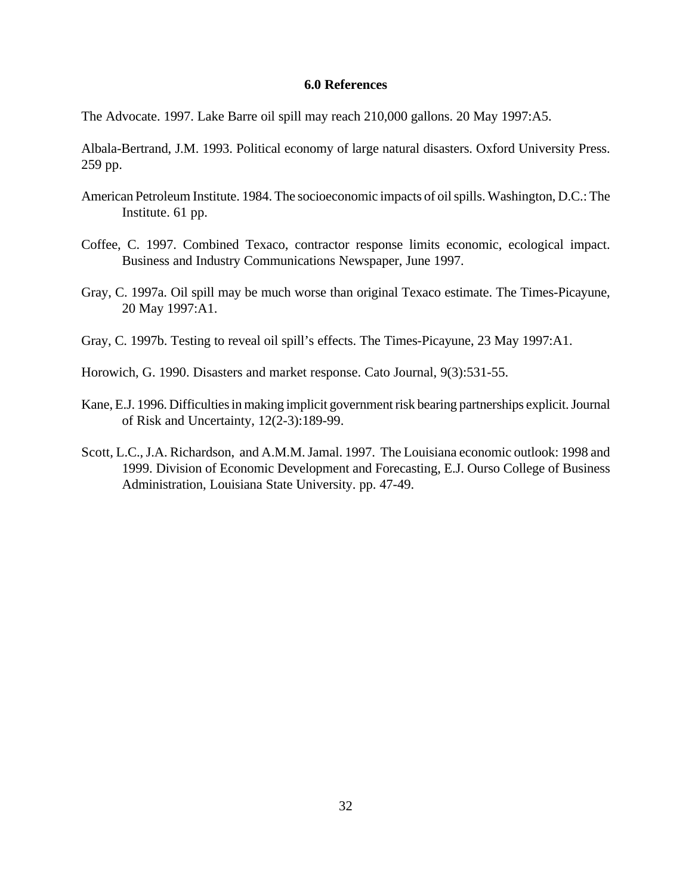#### **6.0 References**

The Advocate. 1997. Lake Barre oil spill may reach 210,000 gallons. 20 May 1997:A5.

Albala-Bertrand, J.M. 1993. Political economy of large natural disasters. Oxford University Press. 259 pp.

- American Petroleum Institute. 1984. The socioeconomic impacts of oil spills. Washington, D.C.: The Institute. 61 pp.
- Coffee, C. 1997. Combined Texaco, contractor response limits economic, ecological impact. Business and Industry Communications Newspaper, June 1997.
- Gray, C. 1997a. Oil spill may be much worse than original Texaco estimate. The Times-Picayune, 20 May 1997:A1.
- Gray, C. 1997b. Testing to reveal oil spill's effects. The Times-Picayune, 23 May 1997:A1.
- Horowich, G. 1990. Disasters and market response. Cato Journal, 9(3):531-55.
- Kane, E.J. 1996. Difficulties in making implicit government risk bearing partnerships explicit. Journal of Risk and Uncertainty, 12(2-3):189-99.
- Scott, L.C., J.A. Richardson, and A.M.M. Jamal. 1997. The Louisiana economic outlook: 1998 and 1999. Division of Economic Development and Forecasting, E.J. Ourso College of Business Administration, Louisiana State University. pp. 47-49.